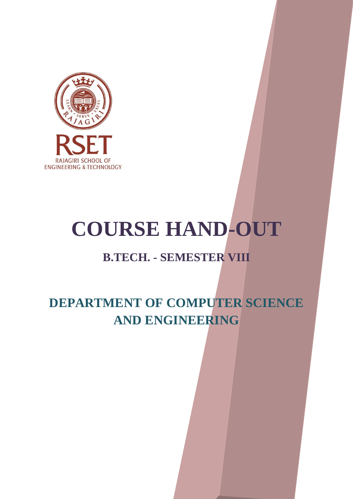

# **COURSE HAND-OUT**

# **B.TECH. - SEMESTER VIII**

# **DEPARTMENT OF COMPUTER SCIENCE AND ENGINEERING**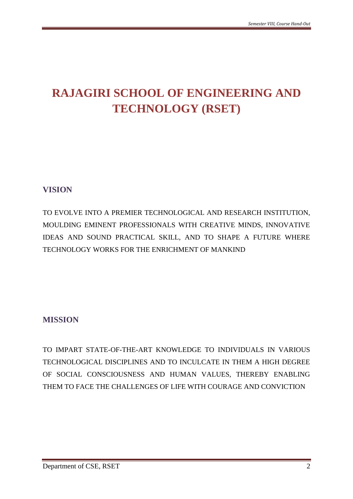# **RAJAGIRI SCHOOL OF ENGINEERING AND TECHNOLOGY (RSET)**

# **VISION**

TO EVOLVE INTO A PREMIER TECHNOLOGICAL AND RESEARCH INSTITUTION, MOULDING EMINENT PROFESSIONALS WITH CREATIVE MINDS, INNOVATIVE IDEAS AND SOUND PRACTICAL SKILL, AND TO SHAPE A FUTURE WHERE TECHNOLOGY WORKS FOR THE ENRICHMENT OF MANKIND

# **MISSION**

TO IMPART STATE-OF-THE-ART KNOWLEDGE TO INDIVIDUALS IN VARIOUS TECHNOLOGICAL DISCIPLINES AND TO INCULCATE IN THEM A HIGH DEGREE OF SOCIAL CONSCIOUSNESS AND HUMAN VALUES, THEREBY ENABLING THEM TO FACE THE CHALLENGES OF LIFE WITH COURAGE AND CONVICTION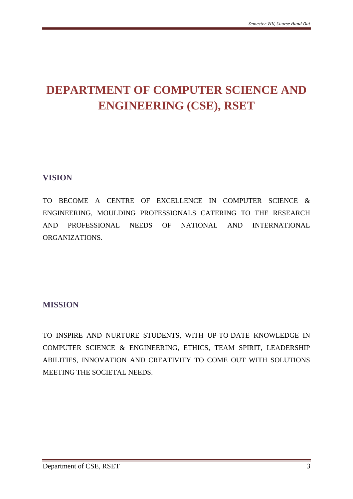# **DEPARTMENT OF COMPUTER SCIENCE AND ENGINEERING (CSE), RSET**

# **VISION**

TO BECOME A CENTRE OF EXCELLENCE IN COMPUTER SCIENCE & ENGINEERING, MOULDING PROFESSIONALS CATERING TO THE RESEARCH AND PROFESSIONAL NEEDS OF NATIONAL AND INTERNATIONAL ORGANIZATIONS.

# **MISSION**

TO INSPIRE AND NURTURE STUDENTS, WITH UP-TO-DATE KNOWLEDGE IN COMPUTER SCIENCE & ENGINEERING, ETHICS, TEAM SPIRIT, LEADERSHIP ABILITIES, INNOVATION AND CREATIVITY TO COME OUT WITH SOLUTIONS MEETING THE SOCIETAL NEEDS.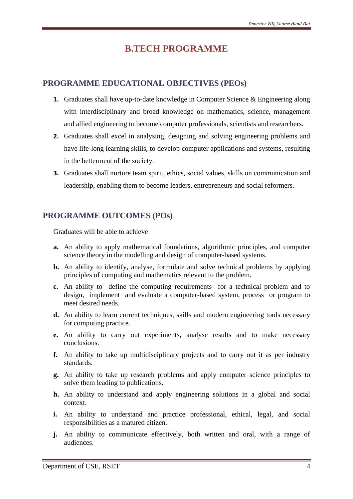# **B.TECH PROGRAMME**

# **PROGRAMME EDUCATIONAL OBJECTIVES (PEOs)**

- **1.** Graduates shall have up-to-date knowledge in Computer Science & Engineering along with interdisciplinary and broad knowledge on mathematics, science, management and allied engineering to become computer professionals, scientists and researchers.
- **2.** Graduates shall excel in analysing, designing and solving engineering problems and have life-long learning skills, to develop computer applications and systems, resulting in the betterment of the society.
- **3.** Graduates shall nurture team spirit, ethics, social values, skills on communication and leadership, enabling them to become leaders, entrepreneurs and social reformers.

# **PROGRAMME OUTCOMES (POs)**

Graduates will be able to achieve

- **a.** An ability to apply mathematical foundations, algorithmic principles, and computer science theory in the modelling and design of computer-based systems.
- **b.** An ability to identify, analyse, formulate and solve technical problems by applying principles of computing and mathematics relevant to the problem.
- **c.** An ability to define the computing requirements for a technical problem and to design, implement and evaluate a computer-based system, process or program to meet desired needs.
- **d.** An ability to learn current techniques, skills and modern engineering tools necessary for computing practice.
- **e.** An ability to carry out experiments, analyse results and to make necessary conclusions.
- **f.** An ability to take up multidisciplinary projects and to carry out it as per industry standards.
- **g.** An ability to take up research problems and apply computer science principles to solve them leading to publications.
- **h.** An ability to understand and apply engineering solutions in a global and social context.
- **i.** An ability to understand and practice professional, ethical, legal, and social responsibilities as a matured citizen.
- **j.** An ability to communicate effectively, both written and oral, with a range of audiences.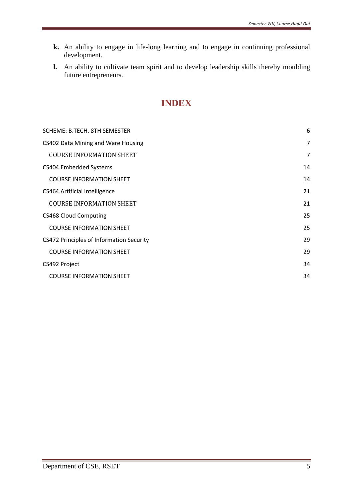- **k.** An ability to engage in life-long learning and to engage in continuing professional development.
- **l.** An ability to cultivate team spirit and to develop leadership skills thereby moulding future entrepreneurs.

# **INDEX**

| SCHEME: B.TECH. 8TH SEMESTER             | 6  |
|------------------------------------------|----|
| CS402 Data Mining and Ware Housing       | 7  |
| <b>COURSE INFORMATION SHEET</b>          | 7  |
| CS404 Embedded Systems                   | 14 |
| <b>COURSE INFORMATION SHEET</b>          | 14 |
| CS464 Artificial Intelligence            | 21 |
| <b>COURSE INFORMATION SHEET</b>          | 21 |
| <b>CS468 Cloud Computing</b>             | 25 |
| <b>COURSE INFORMATION SHEET</b>          | 25 |
| CS472 Principles of Information Security | 29 |
| <b>COURSE INFORMATION SHEET</b>          | 29 |
| CS492 Project                            | 34 |
| <b>COURSE INFORMATION SHEET</b>          | 34 |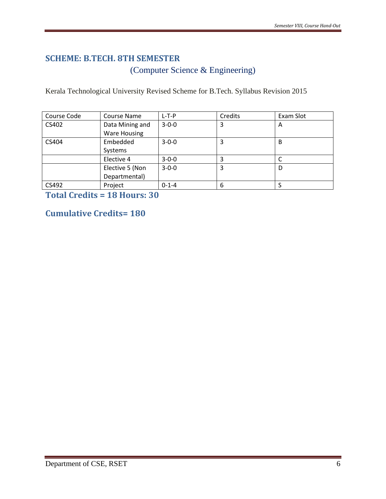# <span id="page-5-0"></span>**SCHEME: B.TECH. 8TH SEMESTER**

(Computer Science & Engineering)

Kerala Technological University Revised Scheme for B.Tech. Syllabus Revision 2015

| Course Code<br>Course Name   |                                        | $L-T-P$     | Credits | Exam Slot |
|------------------------------|----------------------------------------|-------------|---------|-----------|
| CS402                        | Data Mining and<br><b>Ware Housing</b> | $3 - 0 - 0$ | 3       | Α         |
| Embedded<br>CS404<br>Systems |                                        | $3 - 0 - 0$ |         | В         |
|                              | Elective 4                             | $3 - 0 - 0$ |         |           |
|                              | Elective 5 (Non<br>Departmental)       | $3 - 0 - 0$ | 3       | D         |
| CS492                        | Project                                | $0 - 1 - 4$ | 6       |           |

**Total Credits = 18 Hours: 30**

# **Cumulative Credits= 180**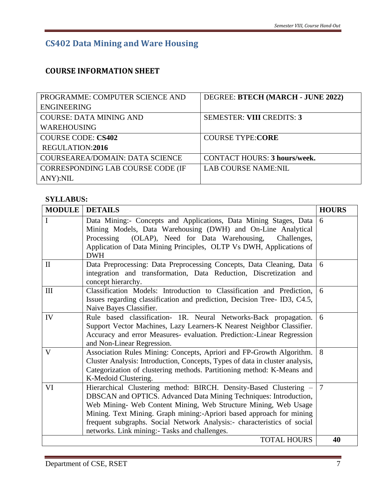# **CS402 Data Mining and Ware Housing**

# <span id="page-6-0"></span>**COURSE INFORMATION SHEET**

<span id="page-6-1"></span>

| PROGRAMME: COMPUTER SCIENCE AND        | DEGREE: BTECH (MARCH - JUNE 2022)   |
|----------------------------------------|-------------------------------------|
| <b>ENGINEERING</b>                     |                                     |
| <b>COURSE: DATA MINING AND</b>         | <b>SEMESTER: VIII CREDITS: 3</b>    |
| <b>WAREHOUSING</b>                     |                                     |
| <b>COURSE CODE: CS402</b>              | <b>COURSE TYPE:CORE</b>             |
| REGULATION:2016                        |                                     |
| <b>COURSEAREA/DOMAIN: DATA SCIENCE</b> | <b>CONTACT HOURS: 3 hours/week.</b> |
| CORRESPONDING LAB COURSE CODE (IF      | <b>LAB COURSE NAME:NIL</b>          |
| ANY):NIL                               |                                     |

## **SYLLABUS:**

| <b>MODULE</b> | <b>DETAILS</b>                                                               | <b>HOURS</b>   |
|---------------|------------------------------------------------------------------------------|----------------|
| I             | Data Mining:- Concepts and Applications, Data Mining Stages, Data            | 6              |
|               | Mining Models, Data Warehousing (DWH) and On-Line Analytical                 |                |
|               | (OLAP), Need for Data Warehousing,<br>Processing<br>Challenges,              |                |
|               | Application of Data Mining Principles, OLTP Vs DWH, Applications of          |                |
|               | <b>DWH</b>                                                                   |                |
| $\mathbf{I}$  | Data Preprocessing: Data Preprocessing Concepts, Data Cleaning, Data         | 6              |
|               | integration and transformation, Data Reduction, Discretization and           |                |
|               | concept hierarchy.                                                           |                |
| $\rm III$     | Classification Models: Introduction to Classification and Prediction,        | 6              |
|               | Issues regarding classification and prediction, Decision Tree-ID3, C4.5,     |                |
|               | Naive Bayes Classifier.                                                      |                |
| IV            | Rule based classification- 1R. Neural Networks-Back propagation.             | 6              |
|               | Support Vector Machines, Lazy Learners-K Nearest Neighbor Classifier.        |                |
|               | Accuracy and error Measures- evaluation. Prediction:-Linear Regression       |                |
|               | and Non-Linear Regression.                                                   |                |
| $\mathbf{V}$  | Association Rules Mining: Concepts, Apriori and FP-Growth Algorithm.         | 8              |
|               | Cluster Analysis: Introduction, Concepts, Types of data in cluster analysis, |                |
|               | Categorization of clustering methods. Partitioning method: K-Means and       |                |
|               | K-Medoid Clustering.                                                         |                |
| VI            | Hierarchical Clustering method: BIRCH. Density-Based Clustering -            | $\overline{7}$ |
|               | DBSCAN and OPTICS. Advanced Data Mining Techniques: Introduction,            |                |
|               | Web Mining- Web Content Mining, Web Structure Mining, Web Usage              |                |
|               | Mining. Text Mining. Graph mining: Apriori based approach for mining         |                |
|               | frequent subgraphs. Social Network Analysis:- characteristics of social      |                |
|               | networks. Link mining:- Tasks and challenges.                                |                |
|               | <b>TOTAL HOURS</b>                                                           | 40             |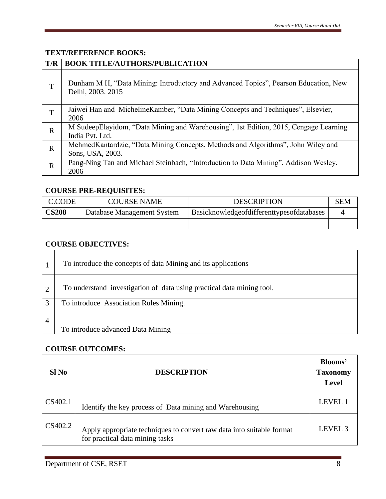## **TEXT/REFERENCE BOOKS:**

| T/R         | <b>BOOK TITLE/AUTHORS/PUBLICATION</b>                                                                    |
|-------------|----------------------------------------------------------------------------------------------------------|
| T           | Dunham M H, "Data Mining: Introductory and Advanced Topics", Pearson Education, New<br>Delhi, 2003. 2015 |
| T           | Jaiwei Han and Micheline Kamber, "Data Mining Concepts and Techniques", Elsevier,<br>2006                |
| $\mathbf R$ | M SudeepElayidom, "Data Mining and Warehousing", 1st Edition, 2015, Cengage Learning<br>India Pvt. Ltd.  |
| $\mathbf R$ | MehmedKantardzic, "Data Mining Concepts, Methods and Algorithms", John Wiley and<br>Sons, USA, 2003.     |
| $\mathbf R$ | Pang-Ning Tan and Michael Steinbach, "Introduction to Data Mining", Addison Wesley,<br>2006              |

## **COURSE PRE-REQUISITES:**

| C.CODE       | <b>COURSE NAME</b>         | <b>DESCRIPTION</b>                        | SEM |
|--------------|----------------------------|-------------------------------------------|-----|
| <b>CS208</b> | Database Management System | Basicknowledgeofdifferenttypesofdatabases |     |
|              |                            |                                           |     |

# **COURSE OBJECTIVES:**

|                        | To introduce the concepts of data Mining and its applications         |
|------------------------|-----------------------------------------------------------------------|
| $\overline{2}$         | To understand investigation of data using practical data mining tool. |
| 3                      | To introduce Association Rules Mining.                                |
| $\boldsymbol{\Lambda}$ |                                                                       |
|                        | To introduce advanced Data Mining                                     |

## **COURSE OUTCOMES:**

| Sl No   | <b>DESCRIPTION</b>                                                                                       | Blooms'<br><b>Taxonomy</b><br><b>Level</b> |
|---------|----------------------------------------------------------------------------------------------------------|--------------------------------------------|
| CS402.1 | Identify the key process of Data mining and Warehousing                                                  | LEVEL 1                                    |
| CS402.2 | Apply appropriate techniques to convert raw data into suitable format<br>for practical data mining tasks | LEVEL <sub>3</sub>                         |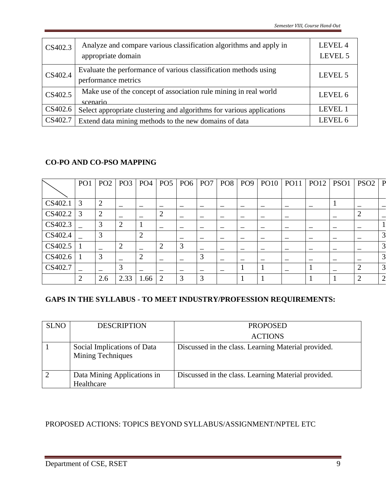| CS402.3 | Analyze and compare various classification algorithms and apply in<br>appropriate domain | LEVEL 4<br>LEVEL 5 |
|---------|------------------------------------------------------------------------------------------|--------------------|
| CS402.4 | Evaluate the performance of various classification methods using<br>performance metrics  | LEVEL 5            |
| CS402.5 | Make use of the concept of association rule mining in real world<br>scenario             | LEVEL 6            |
| CS402.6 | Select appropriate clustering and algorithms for various applications                    | LEVEL 1            |
| CS402.7 | Extend data mining methods to the new domains of data                                    | LEVEL 6            |

# **CO-PO AND CO-PSO MAPPING**

|         | PO <sub>1</sub> | PO2            | PO3            | PO4            | PO <sub>5</sub> | PO6 | PO <sub>7</sub> | PO8   PO9 | PO10 | PO11 | <b>PO12</b> | PSO1 | PSO <sub>2</sub> | $\overline{P}$ |
|---------|-----------------|----------------|----------------|----------------|-----------------|-----|-----------------|-----------|------|------|-------------|------|------------------|----------------|
|         |                 |                |                |                |                 |     |                 |           |      |      |             |      |                  |                |
| CS402.1 | 3               | $\overline{2}$ |                |                |                 |     |                 |           |      |      |             |      |                  |                |
| CS402.2 | 3               | $\overline{2}$ |                |                | ∍               |     | -               |           |      |      |             |      | റ                |                |
| CS402.3 |                 | 3              | $\overline{2}$ |                |                 |     |                 |           |      |      |             |      |                  |                |
| CS402.4 |                 | 3              |                | $\overline{2}$ |                 |     |                 |           |      |      |             |      |                  | 3              |
| CS402.5 |                 |                | $\overline{2}$ |                |                 | 3   |                 |           |      |      |             |      |                  | 3              |
| CS402.6 |                 | $\overline{3}$ |                |                |                 |     | 3               |           |      |      |             |      |                  | 3              |
| CS402.7 |                 |                | 3              |                |                 |     |                 |           |      |      |             |      |                  | $\overline{3}$ |
|         | $\overline{2}$  | 2.6            | 2.33           | 1.66           | 2               | 3   | 3               |           |      |      |             |      | $\mathcal{D}$    | $\overline{2}$ |

# **GAPS IN THE SYLLABUS - TO MEET INDUSTRY/PROFESSION REQUIREMENTS:**

| <b>SLNO</b> | <b>DESCRIPTION</b>                               | <b>PROPOSED</b>                                     |
|-------------|--------------------------------------------------|-----------------------------------------------------|
|             |                                                  | <b>ACTIONS</b>                                      |
|             | Social Implications of Data<br>Mining Techniques | Discussed in the class. Learning Material provided. |
|             | Data Mining Applications in<br>Healthcare        | Discussed in the class. Learning Material provided. |

# PROPOSED ACTIONS: TOPICS BEYOND SYLLABUS/ASSIGNMENT/NPTEL ETC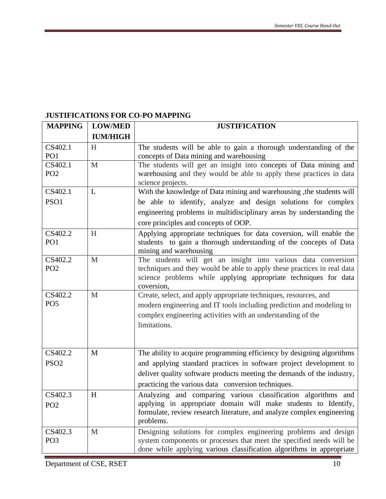# **JUSTIFICATIONS FOR CO-PO MAPPING**

| <b>MAPPING</b>             | <b>LOW/MED</b>  | <b>JUSTIFICATION</b>                                                                                                                       |  |  |
|----------------------------|-----------------|--------------------------------------------------------------------------------------------------------------------------------------------|--|--|
|                            | <b>IUM/HIGH</b> |                                                                                                                                            |  |  |
| CS402.1                    | H               | The students will be able to gain a thorough understanding of the                                                                          |  |  |
| PO <sub>1</sub>            |                 | concepts of Data mining and warehousing                                                                                                    |  |  |
| CS402.1                    | $\mathbf{M}$    | The students will get an insight into concepts of Data mining and                                                                          |  |  |
| PO <sub>2</sub>            |                 | warehousing and they would be able to apply these practices in data                                                                        |  |  |
|                            |                 | science projects.                                                                                                                          |  |  |
| CS402.1                    | L               | With the knowledge of Data mining and warehousing , the students will                                                                      |  |  |
| PSO1                       |                 | be able to identify, analyze and design solutions for complex                                                                              |  |  |
|                            |                 | engineering problems in multidisciplinary areas by understanding the                                                                       |  |  |
|                            |                 | core principles and concepts of OOP.                                                                                                       |  |  |
| CS402.2                    | H               | Applying appropriate techniques for data coversion, will enable the                                                                        |  |  |
| PO <sub>1</sub>            |                 | students to gain a thorough understanding of the concepts of Data                                                                          |  |  |
|                            |                 | mining and warehousing                                                                                                                     |  |  |
| CS402.2<br>PO <sub>2</sub> | M               | The students will get an insight into various data conversion                                                                              |  |  |
|                            |                 | techniques and they would be able to apply these practices in real data<br>science problems while applying appropriate techniques for data |  |  |
|                            |                 | coversion,                                                                                                                                 |  |  |
| CS402.2                    | M               | Create, select, and apply appropriate techniques, resources, and                                                                           |  |  |
| PO <sub>5</sub>            |                 | modern engineering and IT tools including prediction and modeling to                                                                       |  |  |
|                            |                 | complex engineering activities with an understanding of the                                                                                |  |  |
|                            |                 | limitations.                                                                                                                               |  |  |
|                            |                 |                                                                                                                                            |  |  |
|                            |                 |                                                                                                                                            |  |  |
| CS402.2                    | M               | The ability to acquire programming efficiency by designing algorithms                                                                      |  |  |
| PSO <sub>2</sub>           |                 | and applying standard practices in software project development to                                                                         |  |  |
|                            |                 | deliver quality software products meeting the demands of the industry,                                                                     |  |  |
|                            |                 | practicing the various data conversion techniques.                                                                                         |  |  |
| CS402.3                    | H               | Analyzing and comparing various classification algorithms and                                                                              |  |  |
| PO <sub>2</sub>            |                 | applying in appropriate domain will make students to Identify,                                                                             |  |  |
|                            |                 | formulate, review research literature, and analyze complex engineering                                                                     |  |  |
|                            |                 | problems.                                                                                                                                  |  |  |
| CS402.3                    | M               | Designing solutions for complex engineering problems and design                                                                            |  |  |
| PO <sub>3</sub>            |                 | system components or processes that meet the specified needs will be                                                                       |  |  |
|                            |                 | done while applying various classification algorithms in appropriate                                                                       |  |  |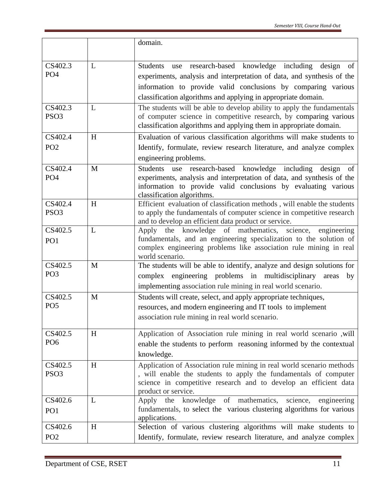|                             |   | domain.                                                                                                                                                                                                                                                                        |
|-----------------------------|---|--------------------------------------------------------------------------------------------------------------------------------------------------------------------------------------------------------------------------------------------------------------------------------|
| CS402.3<br>PO <sub>4</sub>  | L | use research-based knowledge including<br>Students<br>design<br>of<br>experiments, analysis and interpretation of data, and synthesis of the<br>information to provide valid conclusions by comparing various<br>classification algorithms and applying in appropriate domain. |
| CS402.3<br>PSO <sub>3</sub> | L | The students will be able to develop ability to apply the fundamentals<br>of computer science in competitive research, by comparing various<br>classification algorithms and applying them in appropriate domain.                                                              |
| CS402.4<br>PO <sub>2</sub>  | H | Evaluation of various classification algorithms will make students to<br>Identify, formulate, review research literature, and analyze complex<br>engineering problems.                                                                                                         |
| CS402.4<br>PO <sub>4</sub>  | M | use research-based<br>knowledge including<br><b>Students</b><br>of<br>design<br>experiments, analysis and interpretation of data, and synthesis of the<br>information to provide valid conclusions by evaluating various<br>classification algorithms.                         |
| CS402.4<br>PSO <sub>3</sub> | H | Efficient evaluation of classification methods, will enable the students<br>to apply the fundamentals of computer science in competitive research<br>and to develop an efficient data product or service.                                                                      |
| CS402.5<br>PO <sub>1</sub>  | L | Apply the knowledge of mathematics,<br>science,<br>engineering<br>fundamentals, and an engineering specialization to the solution of<br>complex engineering problems like association rule mining in real<br>world scenario.                                                   |
| CS402.5<br>PO <sub>3</sub>  | M | The students will be able to identify, analyze and design solutions for<br>complex engineering problems in multidisciplinary<br>areas<br>by<br>implementing association rule mining in real world scenario.                                                                    |
| CS402.5<br>PO <sub>5</sub>  | M | Students will create, select, and apply appropriate techniques,<br>resources, and modern engineering and IT tools to implement<br>association rule mining in real world scenario.                                                                                              |
| CS402.5<br>PO <sub>6</sub>  | H | Application of Association rule mining in real world scenario, will<br>enable the students to perform reasoning informed by the contextual<br>knowledge.                                                                                                                       |
| CS402.5<br>PSO <sub>3</sub> | H | Application of Association rule mining in real world scenario methods<br>, will enable the students to apply the fundamentals of computer<br>science in competitive research and to develop an efficient data<br>product or service.                                           |
| CS402.6<br>PO <sub>1</sub>  | L | the knowledge of mathematics, science,<br>engineering<br>Apply<br>fundamentals, to select the various clustering algorithms for various<br>applications.                                                                                                                       |
| CS402.6<br>PO <sub>2</sub>  | H | Selection of various clustering algorithms will make students to<br>Identify, formulate, review research literature, and analyze complex                                                                                                                                       |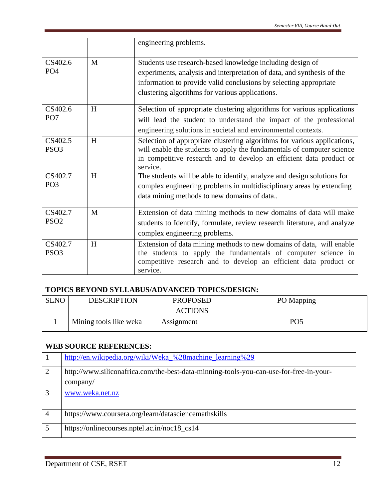|                             |   | engineering problems.                                                                                                                                                                                                                                       |
|-----------------------------|---|-------------------------------------------------------------------------------------------------------------------------------------------------------------------------------------------------------------------------------------------------------------|
| CS402.6<br>PO <sub>4</sub>  | M | Students use research-based knowledge including design of<br>experiments, analysis and interpretation of data, and synthesis of the<br>information to provide valid conclusions by selecting appropriate<br>clustering algorithms for various applications. |
| CS402.6<br>PO <sub>7</sub>  | H | Selection of appropriate clustering algorithms for various applications<br>will lead the student to understand the impact of the professional<br>engineering solutions in societal and environmental contexts.                                              |
| CS402.5<br>PSO <sub>3</sub> | H | Selection of appropriate clustering algorithms for various applications,<br>will enable the students to apply the fundamentals of computer science<br>in competitive research and to develop an efficient data product or<br>service.                       |
| CS402.7<br>PO <sub>3</sub>  | H | The students will be able to identify, analyze and design solutions for<br>complex engineering problems in multidisciplinary areas by extending<br>data mining methods to new domains of data                                                               |
| CS402.7<br>PSO <sub>2</sub> | M | Extension of data mining methods to new domains of data will make<br>students to Identify, formulate, review research literature, and analyze<br>complex engineering problems.                                                                              |
| CS402.7<br>PSO <sub>3</sub> | H | Extension of data mining methods to new domains of data, will enable<br>the students to apply the fundamentals of computer science in<br>competitive research and to develop an efficient data product or<br>service.                                       |

## **TOPICS BEYOND SYLLABUS/ADVANCED TOPICS/DESIGN:**

| <b>SLNO</b> | <b>DESCRIPTION</b>     | <b>PROPOSED</b> | PO Mapping |
|-------------|------------------------|-----------------|------------|
|             |                        | <b>ACTIONS</b>  |            |
|             | Mining tools like weka | Assignment      | PO5        |

# **WEB SOURCE REFERENCES:**

|   | http://en.wikipedia.org/wiki/Weka_%28machine_learning%29                               |
|---|----------------------------------------------------------------------------------------|
| 2 | http://www.siliconafrica.com/the-best-data-minning-tools-you-can-use-for-free-in-your- |
|   | company/                                                                               |
| 3 | www.weka.net.nz                                                                        |
|   | https://www.coursera.org/learn/datasciencemathskills                                   |
|   | https://onlinecourses.nptel.ac.in/noc18_cs14                                           |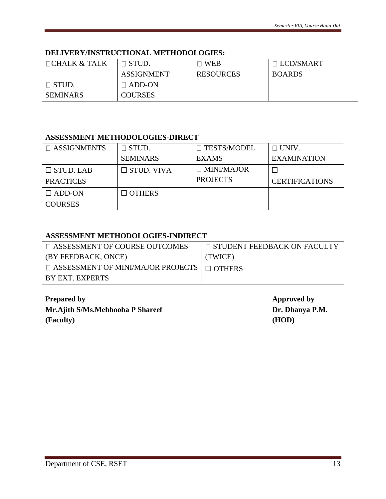## **DELIVERY/INSTRUCTIONAL METHODOLOGIES:**

| $\Box$ CHALK & TALK | ] STUD.                  | <b>WEB</b>       | $\Box$ LCD/SMART |
|---------------------|--------------------------|------------------|------------------|
|                     | <b>ASSIGNMENT</b>        | <b>RESOURCES</b> | <b>BOARDS</b>    |
| $\Box$ STUD.        | $\sqcap$ ADD-ON $\sqcap$ |                  |                  |
| <b>SEMINARS</b>     | <b>COURSES</b>           |                  |                  |

#### **ASSESSMENT METHODOLOGIES-DIRECT**

| $\Box$ ASSIGNMENTS | STUD.             | <b>TESTS/MODEL</b> | $\Box$ UNIV.          |
|--------------------|-------------------|--------------------|-----------------------|
|                    | <b>SEMINARS</b>   | <b>EXAMS</b>       | <b>EXAMINATION</b>    |
| $\Box$ STUD. LAB   | $\Box$ STUD. VIVA | $\Box$ MINI/MAJOR  |                       |
| <b>PRACTICES</b>   |                   | <b>PROJECTS</b>    | <b>CERTIFICATIONS</b> |
| $\Box$ ADD-ON      | $\Box$ OTHERS     |                    |                       |
| <b>COURSES</b>     |                   |                    |                       |

### **ASSESSMENT METHODOLOGIES-INDIRECT**

| □ ASSESSMENT OF COURSE OUTCOMES                        | ∣ □ STUDENT FEEDBACK ON FACULTY |
|--------------------------------------------------------|---------------------------------|
| (BY FEEDBACK, ONCE)                                    | (TWICE)                         |
| $\Box$ ASSESSMENT OF MINI/MAJOR PROJECTS $\Box$ OTHERS |                                 |
| BY EXT. EXPERTS                                        |                                 |

**Prepared by Approved by Mr.Ajith S/Ms.Mehbooba P Shareef Dr. Dhanya P.M. (Faculty) (HOD)**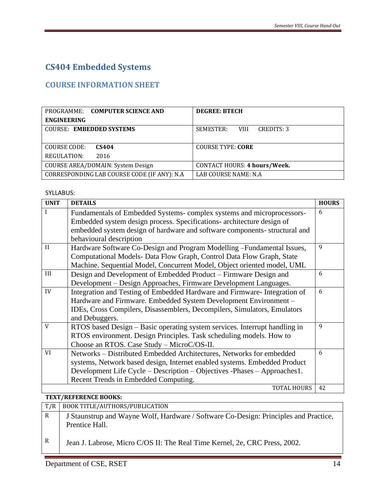# **CS404 Embedded Systems**

# <span id="page-13-0"></span>**COURSE INFORMATION SHEET**

<span id="page-13-1"></span>

| PROGRAMME: COMPUTER SCIENCE AND              | <b>DEGREE: BTECH</b>                   |
|----------------------------------------------|----------------------------------------|
| <b>ENGINEERING</b>                           |                                        |
| <b>COURSE: EMBEDDED SYSTEMS</b>              | SEMESTER:<br>CREDITS: 3<br><b>VIII</b> |
|                                              |                                        |
| COURSE CODE:<br>CS404                        | <b>COURSE TYPE: CORE</b>               |
| REGULATION:<br>2016                          |                                        |
| COURSE AREA/DOMAIN: System Design            | CONTACT HOURS: 4 hours/Week.           |
| CORRESPONDING LAB COURSE CODE (IF ANY): N.A. | LAB COURSE NAME: N.A                   |

#### SYLLABUS:

| <b>UNIT</b>  | <b>DETAILS</b>                                                             | <b>HOURS</b> |
|--------------|----------------------------------------------------------------------------|--------------|
|              | Fundamentals of Embedded Systems-complex systems and microprocessors-      | 6            |
|              | Embedded system design process. Specifications- architecture design of     |              |
|              | embedded system design of hardware and software components- structural and |              |
|              | behavioural description                                                    |              |
| $\mathbf{H}$ | Hardware Software Co-Design and Program Modelling -Fundamental Issues,     | 9            |
|              | Computational Models- Data Flow Graph, Control Data Flow Graph, State      |              |
|              | Machine. Sequential Model, Concurrent Model, Object oriented model, UML    |              |
| III          | Design and Development of Embedded Product – Firmware Design and           | 6            |
|              | Development – Design Approaches, Firmware Development Languages.           |              |
| IV           | Integration and Testing of Embedded Hardware and Firmware-Integration of   | 6            |
|              | Hardware and Firmware. Embedded System Development Environment -           |              |
|              | IDEs, Cross Compilers, Disassemblers, Decompilers, Simulators, Emulators   |              |
|              | and Debuggers.                                                             |              |
| V            | RTOS based Design - Basic operating system services. Interrupt handling in | 9            |
|              | RTOS environment. Design Principles. Task scheduling models. How to        |              |
|              | Choose an RTOS. Case Study - MicroC/OS-II.                                 |              |
| VI           | Networks - Distributed Embedded Architectures, Networks for embedded       | 6            |
|              | systems, Network based design, Internet enabled systems. Embedded Product  |              |
|              | Development Life Cycle – Description – Objectives - Phases – Approaches 1. |              |
|              | Recent Trends in Embedded Computing.                                       |              |
|              | <b>TOTAL HOURS</b>                                                         | 42           |

#### **TEXT/REFERENCE BOOKS:**

| T/R | BOOK TITLE/AUTHORS/PUBLICATION                                                       |
|-----|--------------------------------------------------------------------------------------|
| R   | J Staunstrup and Wayne Wolf, Hardware / Software Co-Design: Principles and Practice, |
|     | Prentice Hall.                                                                       |
| R   | Jean J. Labrose, Micro C/OS II: The Real Time Kernel, 2e, CRC Press, 2002.           |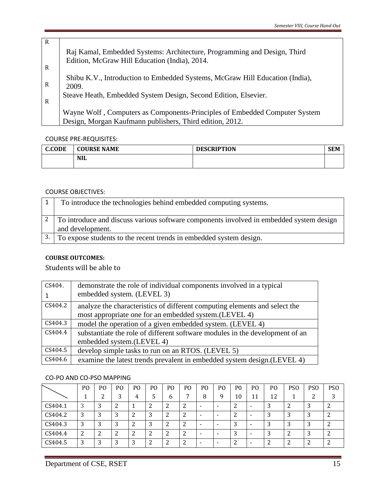| R            |                                                                              |
|--------------|------------------------------------------------------------------------------|
|              | Raj Kamal, Embedded Systems: Architecture, Programming and Design, Third     |
|              | Edition, McGraw Hill Education (India), 2014.                                |
| $\mathbb{R}$ |                                                                              |
|              | Shibu K.V., Introduction to Embedded Systems, McGraw Hill Education (India), |
| $\mathbb{R}$ | 2009.                                                                        |
|              | Steave Heath, Embedded System Design, Second Edition, Elsevier.              |
| R            |                                                                              |
|              | Wayne Wolf, Computers as Components-Principles of Embedded Computer System   |
|              |                                                                              |
|              | Design, Morgan Kaufmann publishers, Third edition, 2012.                     |

COURSE PRE-REQUISITES:

| <b>C.CODE</b> | <b>COURSE NAME</b> | <b>DESCRIPTION</b> | <b>SEM</b> |
|---------------|--------------------|--------------------|------------|
|               | <b>NIL</b>         |                    |            |

#### COURSE OBJECTIVES:

| To introduce the technologies behind embedded computing systems.                        |
|-----------------------------------------------------------------------------------------|
| To introduce and discuss various software components involved in embedded system design |
| and development.                                                                        |
| 3. To expose students to the recent trends in embedded system design.                   |

#### **COURSE OUTCOMES:**

## Students will be able to

| CS404.  | demonstrate the role of individual components involved in a typical          |
|---------|------------------------------------------------------------------------------|
|         | embedded system. (LEVEL 3)                                                   |
| CS404.2 | analyze the characteristics of different computing elements and select the   |
|         | most appropriate one for an embedded system. (LEVEL 4)                       |
| CS404.3 | model the operation of a given embedded system. (LEVEL 4)                    |
| CS404.4 | substantiate the role of different software modules in the development of an |
|         | embedded system.(LEVEL 4)                                                    |
| CS404.5 | develop simple tasks to run on an RTOS. (LEVEL 5)                            |
| CS404.6 | examine the latest trends prevalent in embedded system design. (LEVEL 4)     |

#### CO-PO AND CO-PSO MAPPING

|         | P <sub>O</sub> | P <sub>O</sub> | PO      | P <sub>0</sub> | P <sub>O</sub> | P <sub>O</sub> | PO | P <sub>O</sub> | PO                       | P <sub>0</sub> | P <sub>O</sub> | P <sub>O</sub> | PS <sub>O</sub> | <b>PSO</b> | PS <sub>O</sub> |
|---------|----------------|----------------|---------|----------------|----------------|----------------|----|----------------|--------------------------|----------------|----------------|----------------|-----------------|------------|-----------------|
|         |                | ◠              | ◠       | 4              |                | h              | −  | 8              | q                        | 10             | 11             | 12             |                 | ◠          | 2               |
| CS404.1 | 3              | ر              | ി<br>▵  |                |                | ∸              |    | -              | -                        | ▃              | -              | ື              | ▵               | J          |                 |
| CS404.2 | 3              | Ć              | 3       | ີ              |                | ∸              |    |                | -                        | ∼              | -              |                |                 | C          | ി<br>▵          |
| CS404.3 | 3              | ∍              | 3       | ົ              |                |                |    |                |                          | 2<br>J         | -              |                |                 | ◠          | ົ               |
| CS404.4 | າ<br>▵         | າ<br>∼         | ົາ<br>∼ | ി              |                |                |    |                | $\overline{\phantom{a}}$ | J              | -              |                |                 |            | ി               |
| CS404.5 | 3              | ◠<br>ر         | 3       | ി<br>C         |                |                | ำ  |                | -                        | ◠              |                | ◠              |                 |            | ົ               |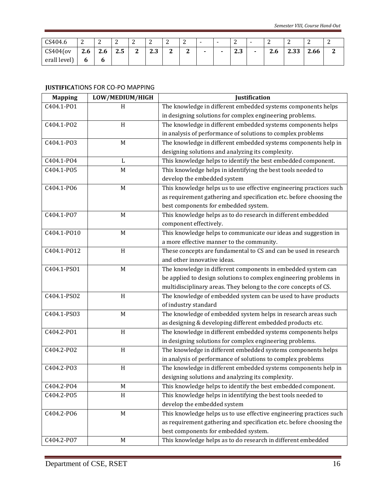| CS404.6      | ∼   | ⌒<br>∼              | $\sim$<br>▵ | $\sqrt{2}$<br>∼ | $\sim$    | ∽<br>∼                  | $\sqrt{2}$<br>∼ | - | - | $\sim$<br>∼     | - | $\sqrt{2}$<br>⊷ | ∸             | $\sim$<br>∼ | ∸ |
|--------------|-----|---------------------|-------------|-----------------|-----------|-------------------------|-----------------|---|---|-----------------|---|-----------------|---------------|-------------|---|
| $C$ S404(ov  | 2.6 | $\mathbf{r}$<br>۷.۵ | ີ<br>ر. ے   | n<br>∼          | n<br>ر. ء | $\mathbf{\hat{a}}$<br>∼ | ີ<br>∼          |   |   | $\Omega$<br>د.ء |   | ີ<br>2.6        | າາາ<br>ں ں ،ے | 2.66        | ⊷ |
| erall level) | o   |                     |             |                 |           |                         |                 |   |   |                 |   |                 |               |             |   |

#### **JUSTIFICA**TIONS FOR CO-PO MAPPING

| <b>Mapping</b> | LOW/MEDIUM/HIGH | Justification                                                       |
|----------------|-----------------|---------------------------------------------------------------------|
| C404.1-P01     | H               | The knowledge in different embedded systems components helps        |
|                |                 | in designing solutions for complex engineering problems.            |
| C404.1-PO2     | H               | The knowledge in different embedded systems components helps        |
|                |                 | in analysis of performance of solutions to complex problems         |
| C404.1-PO3     | $\mathbf M$     | The knowledge in different embedded systems components help in      |
|                |                 | designing solutions and analyzing its complexity.                   |
| C404.1-PO4     | L               | This knowledge helps to identify the best embedded component.       |
| C404.1-P05     | M               | This knowledge helps in identifying the best tools needed to        |
|                |                 | develop the embedded system                                         |
| C404.1-PO6     | $\mathbf M$     | This knowledge helps us to use effective engineering practices such |
|                |                 | as requirement gathering and specification etc. before choosing the |
|                |                 | best components for embedded system.                                |
| C404.1-P07     | M               | This knowledge helps as to do research in different embedded        |
|                |                 | component effectively.                                              |
| C404.1-P010    | $\mathbf M$     | This knowledge helps to communicate our ideas and suggestion in     |
|                |                 | a more effective manner to the community.                           |
| C404.1-P012    | H               | These concepts are fundamental to CS and can be used in research    |
|                |                 | and other innovative ideas.                                         |
| C404.1-PS01    | $\mathbf M$     | The knowledge in different components in embedded system can        |
|                |                 | be applied to design solutions to complex engineering problems in   |
|                |                 | multidisciplinary areas. They belong to the core concepts of CS.    |
| C404.1-PSO2    | H               | The knowledge of embedded system can be used to have products       |
|                |                 | of industry standard                                                |
| C404.1-PS03    | M               | The knowledge of embedded system helps in research areas such       |
|                |                 | as designing & developing different embedded products etc.          |
| C404.2-P01     | H               | The knowledge in different embedded systems components helps        |
|                |                 | in designing solutions for complex engineering problems.            |
| C404.2-PO2     | H               | The knowledge in different embedded systems components helps        |
|                |                 | in analysis of performance of solutions to complex problems         |
| C404.2-P03     | H               | The knowledge in different embedded systems components help in      |
|                |                 | designing solutions and analyzing its complexity.                   |
| C404.2-PO4     | M               | This knowledge helps to identify the best embedded component.       |
| C404.2-PO5     | H               | This knowledge helps in identifying the best tools needed to        |
|                |                 | develop the embedded system                                         |
| C404.2-P06     | M               | This knowledge helps us to use effective engineering practices such |
|                |                 | as requirement gathering and specification etc. before choosing the |
|                |                 | best components for embedded system.                                |
| C404.2-PO7     | M               | This knowledge helps as to do research in different embedded        |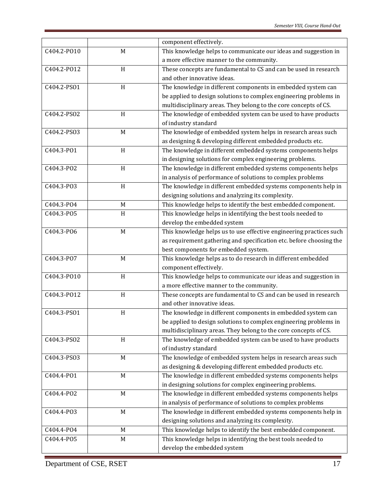|             |              | component effectively.                                              |  |  |  |  |  |
|-------------|--------------|---------------------------------------------------------------------|--|--|--|--|--|
| C404.2-P010 | M            | This knowledge helps to communicate our ideas and suggestion in     |  |  |  |  |  |
|             |              | a more effective manner to the community.                           |  |  |  |  |  |
| C404.2-P012 | H            | These concepts are fundamental to CS and can be used in research    |  |  |  |  |  |
|             |              | and other innovative ideas.                                         |  |  |  |  |  |
| C404.2-PS01 | H            | The knowledge in different components in embedded system can        |  |  |  |  |  |
|             |              | be applied to design solutions to complex engineering problems in   |  |  |  |  |  |
|             |              | multidisciplinary areas. They belong to the core concepts of CS.    |  |  |  |  |  |
| C404.2-PSO2 | $\,$ H       | The knowledge of embedded system can be used to have products       |  |  |  |  |  |
|             |              | of industry standard                                                |  |  |  |  |  |
| C404.2-PS03 | M            | The knowledge of embedded system helps in research areas such       |  |  |  |  |  |
|             |              | as designing & developing different embedded products etc.          |  |  |  |  |  |
| C404.3-P01  | H            | The knowledge in different embedded systems components helps        |  |  |  |  |  |
|             |              | in designing solutions for complex engineering problems.            |  |  |  |  |  |
| C404.3-PO2  | H            | The knowledge in different embedded systems components helps        |  |  |  |  |  |
|             |              | in analysis of performance of solutions to complex problems         |  |  |  |  |  |
| C404.3-P03  | H            | The knowledge in different embedded systems components help in      |  |  |  |  |  |
|             |              | designing solutions and analyzing its complexity.                   |  |  |  |  |  |
| C404.3-PO4  | M            | This knowledge helps to identify the best embedded component.       |  |  |  |  |  |
| C404.3-P05  | H            | This knowledge helps in identifying the best tools needed to        |  |  |  |  |  |
|             |              | develop the embedded system                                         |  |  |  |  |  |
| C404.3-PO6  | M            | This knowledge helps us to use effective engineering practices such |  |  |  |  |  |
|             |              | as requirement gathering and specification etc. before choosing the |  |  |  |  |  |
|             |              | best components for embedded system.                                |  |  |  |  |  |
| C404.3-PO7  | M            | This knowledge helps as to do research in different embedded        |  |  |  |  |  |
|             |              | component effectively.                                              |  |  |  |  |  |
| C404.3-P010 | $\, {\rm H}$ | This knowledge helps to communicate our ideas and suggestion in     |  |  |  |  |  |
|             |              | a more effective manner to the community.                           |  |  |  |  |  |
| C404.3-P012 | $\,$ H       | These concepts are fundamental to CS and can be used in research    |  |  |  |  |  |
|             |              | and other innovative ideas.                                         |  |  |  |  |  |
| C404.3-PS01 | H            | The knowledge in different components in embedded system can        |  |  |  |  |  |
|             |              | be applied to design solutions to complex engineering problems in   |  |  |  |  |  |
|             |              | multidisciplinary areas. They belong to the core concepts of CS.    |  |  |  |  |  |
| C404.3-PSO2 | H            | The knowledge of embedded system can be used to have products       |  |  |  |  |  |
|             |              | of industry standard                                                |  |  |  |  |  |
| C404.3-PS03 | M            | The knowledge of embedded system helps in research areas such       |  |  |  |  |  |
|             |              | as designing & developing different embedded products etc.          |  |  |  |  |  |
| C404.4-P01  | M            | The knowledge in different embedded systems components helps        |  |  |  |  |  |
|             |              | in designing solutions for complex engineering problems.            |  |  |  |  |  |
| C404.4-PO2  | M            | The knowledge in different embedded systems components helps        |  |  |  |  |  |
|             |              | in analysis of performance of solutions to complex problems         |  |  |  |  |  |
| C404.4-P03  | $\mathbf M$  | The knowledge in different embedded systems components help in      |  |  |  |  |  |
|             |              | designing solutions and analyzing its complexity.                   |  |  |  |  |  |
| C404.4-PO4  | M            | This knowledge helps to identify the best embedded component.       |  |  |  |  |  |
| C404.4-P05  | M            | This knowledge helps in identifying the best tools needed to        |  |  |  |  |  |
|             |              | develop the embedded system                                         |  |  |  |  |  |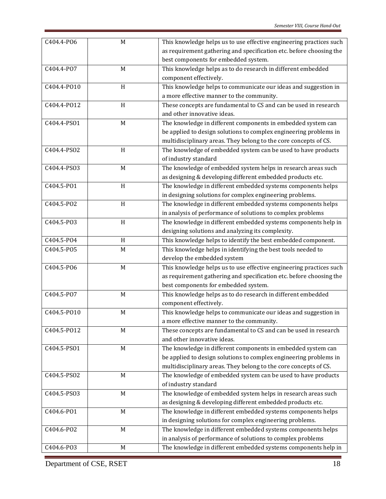| C404.4-P06  | M            | This knowledge helps us to use effective engineering practices such |
|-------------|--------------|---------------------------------------------------------------------|
|             |              | as requirement gathering and specification etc. before choosing the |
|             |              | best components for embedded system.                                |
| C404.4-P07  | M            | This knowledge helps as to do research in different embedded        |
|             |              | component effectively.                                              |
| C404.4-P010 | H            | This knowledge helps to communicate our ideas and suggestion in     |
|             |              | a more effective manner to the community.                           |
| C404.4-P012 | $\,$ H       | These concepts are fundamental to CS and can be used in research    |
|             |              | and other innovative ideas.                                         |
| C404.4-PS01 | M            | The knowledge in different components in embedded system can        |
|             |              | be applied to design solutions to complex engineering problems in   |
|             |              | multidisciplinary areas. They belong to the core concepts of CS.    |
| C404.4-PS02 | $\,$ H       | The knowledge of embedded system can be used to have products       |
|             |              | of industry standard                                                |
| C404.4-PS03 | $\mathbf M$  | The knowledge of embedded system helps in research areas such       |
|             |              | as designing & developing different embedded products etc.          |
| C404.5-P01  | H            | The knowledge in different embedded systems components helps        |
|             |              | in designing solutions for complex engineering problems.            |
| C404.5-PO2  | H            | The knowledge in different embedded systems components helps        |
|             |              | in analysis of performance of solutions to complex problems         |
| C404.5-P03  | $\, {\rm H}$ | The knowledge in different embedded systems components help in      |
|             |              | designing solutions and analyzing its complexity.                   |
| C404.5-PO4  | H            | This knowledge helps to identify the best embedded component.       |
| C404.5-P05  | M            | This knowledge helps in identifying the best tools needed to        |
|             |              | develop the embedded system                                         |
| C404.5-P06  | $\mathbf M$  | This knowledge helps us to use effective engineering practices such |
|             |              | as requirement gathering and specification etc. before choosing the |
|             |              | best components for embedded system.                                |
| C404.5-P07  | M            | This knowledge helps as to do research in different embedded        |
|             |              | component effectively.                                              |
| C404.5-P010 | $\mathbf M$  | This knowledge helps to communicate our ideas and suggestion in     |
|             |              | a more effective manner to the community.                           |
| C404.5-P012 | M            | These concepts are fundamental to CS and can be used in research    |
|             |              | and other innovative ideas.                                         |
| C404.5-PS01 | M            | The knowledge in different components in embedded system can        |
|             |              | be applied to design solutions to complex engineering problems in   |
|             |              | multidisciplinary areas. They belong to the core concepts of CS.    |
| C404.5-PSO2 | M            | The knowledge of embedded system can be used to have products       |
|             |              | of industry standard                                                |
| C404.5-PS03 | M            | The knowledge of embedded system helps in research areas such       |
|             |              | as designing & developing different embedded products etc.          |
| C404.6-P01  | M            | The knowledge in different embedded systems components helps        |
|             |              | in designing solutions for complex engineering problems.            |
| C404.6-PO2  | M            | The knowledge in different embedded systems components helps        |
|             |              | in analysis of performance of solutions to complex problems         |
| C404.6-PO3  | $M_{\odot}$  | The knowledge in different embedded systems components help in      |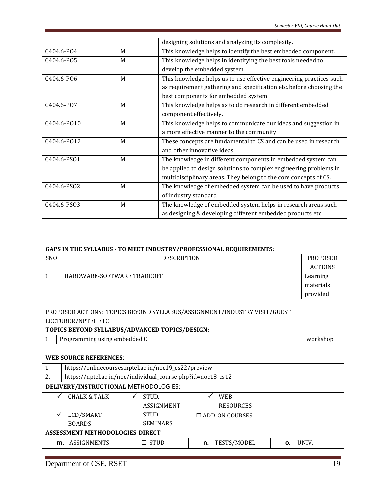|                 |   | designing solutions and analyzing its complexity.                   |
|-----------------|---|---------------------------------------------------------------------|
| C404.6-P04      | M | This knowledge helps to identify the best embedded component.       |
| C404.6-P05<br>M |   | This knowledge helps in identifying the best tools needed to        |
|                 |   | develop the embedded system                                         |
| C404.6-PO6      | M | This knowledge helps us to use effective engineering practices such |
|                 |   | as requirement gathering and specification etc. before choosing the |
|                 |   | best components for embedded system.                                |
| C404.6-PO7      | M | This knowledge helps as to do research in different embedded        |
|                 |   | component effectively.                                              |
| C404.6-P010     | M | This knowledge helps to communicate our ideas and suggestion in     |
|                 |   | a more effective manner to the community.                           |
| C404.6-P012     | M | These concepts are fundamental to CS and can be used in research    |
|                 |   | and other innovative ideas.                                         |
| C404.6-PS01     | M | The knowledge in different components in embedded system can        |
|                 |   | be applied to design solutions to complex engineering problems in   |
|                 |   | multidisciplinary areas. They belong to the core concepts of CS.    |
| C404.6-PS02     | M | The knowledge of embedded system can be used to have products       |
|                 |   | of industry standard                                                |
| C404.6-PS03     | M | The knowledge of embedded system helps in research areas such       |
|                 |   | as designing & developing different embedded products etc.          |

#### **GAPS IN THE SYLLABUS - TO MEET INDUSTRY/PROFESSIONAL REQUIREMENTS:**

| SNO | <b>DESCRIPTION</b>         | PROPOSED       |
|-----|----------------------------|----------------|
|     |                            | <b>ACTIONS</b> |
|     | HARDWARE-SOFTWARE TRADEOFF | Learning       |
|     |                            | materials      |
|     |                            | provided       |

#### PROPOSED ACTIONS: TOPICS BEYOND SYLLABUS/ASSIGNMENT/INDUSTRY VISIT/GUEST LECTURER/NPTEL ETC

#### **TOPICS BEYOND SYLLABUS/ADVANCED TOPICS/DESIGN:**

|  | 1   Programming using embedded C | workshop |
|--|----------------------------------|----------|
|--|----------------------------------|----------|

#### **WEB SOURCE REFERENCES**:

| 1                               | https://onlinecourses.nptel.ac.in/noc19_cs22/preview        |                 |                       |             |  |  |  |  |  |
|---------------------------------|-------------------------------------------------------------|-----------------|-----------------------|-------------|--|--|--|--|--|
| 2.                              | https://nptel.ac.in/noc/individual_course.php?id=noc18-cs12 |                 |                       |             |  |  |  |  |  |
|                                 | DELIVERY/INSTRUCTIONAL METHODOLOGIES:                       |                 |                       |             |  |  |  |  |  |
|                                 | <b>CHALK &amp; TALK</b><br>STUD.<br><b>WEB</b>              |                 |                       |             |  |  |  |  |  |
|                                 |                                                             | ASSIGNMENT      | <b>RESOURCES</b>      |             |  |  |  |  |  |
| ✓                               | LCD/SMART                                                   | STUD.           | $\Box$ ADD-ON COURSES |             |  |  |  |  |  |
|                                 | <b>SEMINARS</b><br><b>BOARDS</b>                            |                 |                       |             |  |  |  |  |  |
| ASSESSMENT METHODOLOGIES-DIRECT |                                                             |                 |                       |             |  |  |  |  |  |
|                                 | m. ASSIGNMENTS                                              | $\square$ stud. | TESTS/MODEL<br>n.     | UNIV.<br>n. |  |  |  |  |  |
|                                 |                                                             |                 |                       |             |  |  |  |  |  |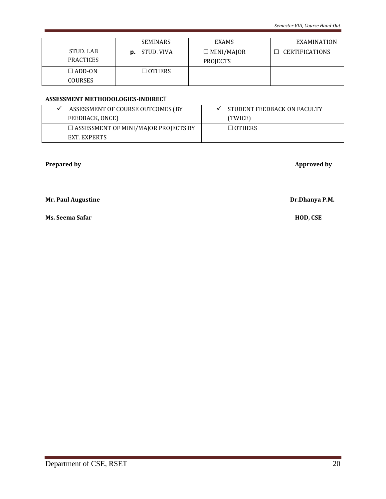|                  | <b>SEMINARS</b>      | <b>EXAMS</b>      | EXAMINATION                  |
|------------------|----------------------|-------------------|------------------------------|
| STUD, LAB        | <b>p.</b> STUD. VIVA | $\Box$ MINI/MAJOR | <b>CERTIFICATIONS</b><br>l I |
| <b>PRACTICES</b> |                      | <b>PROJECTS</b>   |                              |
| $\Box$ ADD-ON    | $\Box$ OTHERS        |                   |                              |
| <b>COURSES</b>   |                      |                   |                              |

#### **ASSESSMENT METHODOLOGIES-INDIREC**T

| ASSESSMENT OF COURSE OUTCOMES (BY           | STUDENT FEEDBACK ON FACULTY |
|---------------------------------------------|-----------------------------|
| FEEDBACK, ONCE)                             | (TWICE)                     |
| $\Box$ ASSESSMENT OF MINI/MAJOR PROJECTS BY | $\Box$ OTHERS               |
| EXT. EXPERTS                                |                             |

**Prepared by** Approved by

**Mr. Paul Augustine Dr.Dhanya P.M.** 

**Ms. Seema Safar HOD, CSE**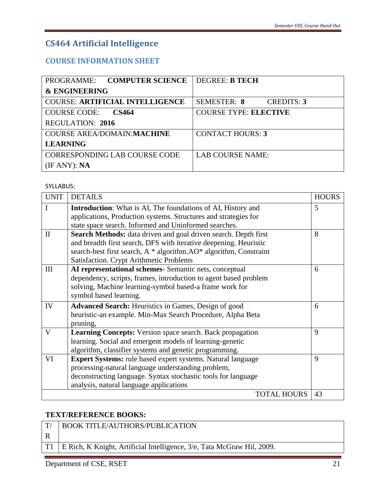# **CS464 Artificial Intelligence**

# **COURSE INFORMATION SHEET**

<span id="page-20-1"></span><span id="page-20-0"></span>

| PROGRAMME: COMPUTER SCIENCE            | <b>DEGREE: B TECH</b>                   |
|----------------------------------------|-----------------------------------------|
| <b>&amp; ENGINEERING</b>               |                                         |
| <b>COURSE: ARTIFICIAL INTELLIGENCE</b> | <b>SEMESTER: 8</b><br><b>CREDITS: 3</b> |
| <b>COURSE CODE:</b><br><b>CS464</b>    | <b>COURSE TYPE: ELECTIVE</b>            |
| <b>REGULATION: 2016</b>                |                                         |
| COURSE AREA/DOMAIN: MACHINE            | <b>CONTACT HOURS: 3</b>                 |
| <b>LEARNING</b>                        |                                         |
| <b>CORRESPONDING LAB COURSE CODE</b>   | LAB COURSE NAME:                        |
| (IF ANY): NA                           |                                         |

SYLLABUS:

| <b>UNIT</b>  | <b>DETAILS</b>                                                                                                                                                                                                                                       | <b>HOURS</b> |
|--------------|------------------------------------------------------------------------------------------------------------------------------------------------------------------------------------------------------------------------------------------------------|--------------|
| I            | <b>Introduction:</b> What is AI, The foundations of AI, History and<br>applications, Production systems. Structures and strategies for                                                                                                               | 5            |
|              | state space search. Informed and Uninformed searches.                                                                                                                                                                                                |              |
| $\mathbf{H}$ | Search Methods: data driven and goal driven search. Depth first<br>and breadth first search, DFS with iterative deepening. Heuristic<br>search-best first search, A * algorithm.AO* algorithm, Constraint<br>Satisfaction. Crypt Arithmetic Problems | 8            |
| III          | AI representational schemes- Semantic nets, conceptual<br>dependency, scripts, frames, introduction to agent based problem<br>solving, Machine learning-symbol based-a frame work for<br>symbol based learning.                                      | 6            |
| IV           | <b>Advanced Search:</b> Heuristics in Games, Design of good<br>heuristic-an example. Min-Max Search Procedure, Alpha Beta<br>pruning,                                                                                                                | 6            |
| V            | Learning Concepts: Version space search. Back propagation<br>learning. Social and emergent models of learning-genetic<br>algorithm, classifier systems and genetic programming.                                                                      | 9            |
| VI           | Expert Systems: rule based expert systems. Natural language<br>processing-natural language understanding problem,<br>deconstructing language. Syntax stochastic tools for language<br>analysis, natural language applications                        | 9            |
|              | <b>TOTAL HOURS</b>                                                                                                                                                                                                                                   | 43           |

#### **TEXT/REFERENCE BOOKS:**

| T/        | <b>BOOK TITLE/AUTHORS/PUBLICATION</b>                                  |
|-----------|------------------------------------------------------------------------|
|           |                                                                        |
| <b>T1</b> | E Rich, K Knight, Artificial Intelligence, 3/e, Tata McGraw Hil, 2009. |
|           |                                                                        |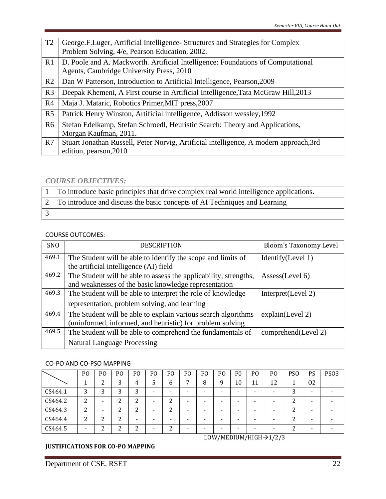| T <sub>2</sub> | George.F.Luger, Artificial Intelligence - Structures and Strategies for Complex<br>Problem Solving, 4/e, Pearson Education. 2002. |
|----------------|-----------------------------------------------------------------------------------------------------------------------------------|
| R1             | D. Poole and A. Mackworth. Artificial Intelligence: Foundations of Computational<br>Agents, Cambridge University Press, 2010      |
| R <sub>2</sub> | Dan W Patterson, Introduction to Artificial Intelligence, Pearson, 2009                                                           |
| R <sub>3</sub> | Deepak Khemeni, A First course in Artificial Intelligence, Tata McGraw Hill, 2013                                                 |
| R <sub>4</sub> | Maja J. Mataric, Robotics Primer, MIT press, 2007                                                                                 |
| R <sub>5</sub> | Patrick Henry Winston, Artificial intelligence, Addisson wessley, 1992                                                            |
| R <sub>6</sub> | Stefan Edelkamp, Stefan Schroedl, Heuristic Search: Theory and Applications,<br>Morgan Kaufman, 2011.                             |
| R7             | Stuart Jonathan Russell, Peter Norvig, Artificial intelligence, A modern approach, 3rd<br>edition, pearson, 2010                  |

#### *COURSE OBJECTIVES:*

| 1 To introduce basic principles that drive complex real world intelligence applications. |
|------------------------------------------------------------------------------------------|
| 2 To introduce and discuss the basic concepts of AI Techniques and Learning              |
|                                                                                          |

#### COURSE OUTCOMES:

| SNO   | <b>DESCRIPTION</b>                                               | Bloom's Taxonomy Level |
|-------|------------------------------------------------------------------|------------------------|
| 469.1 | The Student will be able to identify the scope and limits of     | Identify(Level 1)      |
|       | the artificial intelligence (AI) field                           |                        |
| 469.2 | The Student will be able to assess the applicability, strengths, | Assess(Level 6)        |
|       | and weaknesses of the basic knowledge representation             |                        |
| 469.3 | The Student will be able to interpret the role of knowledge      | Interpret(Level 2)     |
|       | representation, problem solving, and learning                    |                        |
| 469.4 | The Student will be able to explain various search algorithms    | explain(Level 2)       |
|       | (uninformed, informed, and heuristic) for problem solving        |                        |
| 469.5 | The Student will be able to comprehend the fundamentals of       | comprehend(Level 2)    |
|       | <b>Natural Language Processing</b>                               |                        |

#### CO-PO AND CO-PSO MAPPING

|         | P <sub>O</sub> | P <sub>O</sub> | P <sub>O</sub> | P <sub>0</sub> | P <sub>0</sub> | PO                 | P <sub>O</sub> | P <sub>O</sub> | P <sub>O</sub>           | P <sub>0</sub>           | P <sub>O</sub> | P <sub>O</sub> | PS <sub>O</sub> | <b>PS</b> | <b>PS03</b> |
|---------|----------------|----------------|----------------|----------------|----------------|--------------------|----------------|----------------|--------------------------|--------------------------|----------------|----------------|-----------------|-----------|-------------|
|         |                | ◠              |                | 4              |                | <sub>b</sub>       |                | 8              | 9                        | 10                       | 11             | 12             |                 | 02        |             |
| CS464.1 | 3              | n<br>. .       | ⌒              | 3              | -              |                    | -              | -              | -                        | $\overline{\phantom{0}}$ |                |                | ◠<br>ر          | -         |             |
| CS464.2 | ົາ<br>∠        | -              |                | ി<br>▵         | -              | າ<br>▵             | -              | -              | -                        | -                        |                |                | ำ               | -         |             |
| CS464.3 | າ<br>∠         |                | ⌒              | ∍<br>∸         |                | $\mathcal{D}$<br>∠ | -              | -              | $\overline{\phantom{a}}$ | -                        |                |                | ົ               |           |             |
| CS464.4 | ົ<br>▵         | ◠              |                | -              | -              |                    | -              | -              | $\overline{\phantom{a}}$ | -                        |                | -              | ി               | -         |             |
| CS464.5 |                | ົ              | ົ              | ົ<br>▵         |                | າ<br>∠             | -              | -              | -                        |                          |                |                | ີ<br>∠          |           |             |

#### **JUSTIFICATIONS FOR CO-PO MAPPING**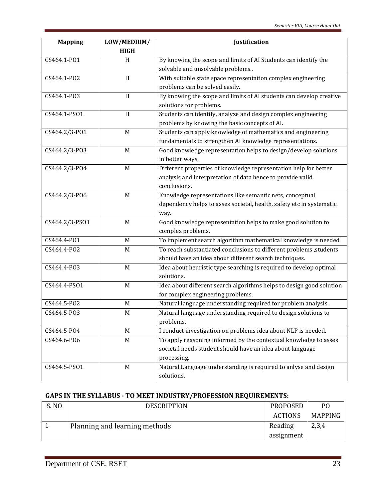| <b>Mapping</b> | LOW/MEDIUM/ | Justification                                                                                                                   |  |  |
|----------------|-------------|---------------------------------------------------------------------------------------------------------------------------------|--|--|
|                | <b>HIGH</b> |                                                                                                                                 |  |  |
| CS464.1-P01    | H           | By knowing the scope and limits of AI Students can identify the                                                                 |  |  |
|                |             | solvable and unsolvable problems                                                                                                |  |  |
| CS464.1-PO2    | H           | With suitable state space representation complex engineering                                                                    |  |  |
|                |             | problems can be solved easily.                                                                                                  |  |  |
| CS464.1-PO3    | H           | By knowing the scope and limits of AI students can develop creative                                                             |  |  |
|                |             | solutions for problems.                                                                                                         |  |  |
| CS464.1-PS01   | H           | Students can identify, analyze and design complex engineering                                                                   |  |  |
|                |             | problems by knowing the basic concepts of AI.                                                                                   |  |  |
| CS464.2/3-P01  | M           | Students can apply knowledge of mathematics and engineering                                                                     |  |  |
|                |             | fundamentals to strengthen AI knowledge representations.                                                                        |  |  |
| CS464.2/3-P03  | M           | Good knowledge representation helps to design/develop solutions                                                                 |  |  |
|                |             | in better ways.                                                                                                                 |  |  |
| CS464.2/3-P04  | M           | Different properties of knowledge representation help for better                                                                |  |  |
|                |             | analysis and interpretation of data hence to provide valid                                                                      |  |  |
|                |             | conclusions.                                                                                                                    |  |  |
| CS464.2/3-P06  | M           | Knowledge representations like semantic nets, conceptual                                                                        |  |  |
|                |             | dependency helps to asses societal, health, safety etc in systematic                                                            |  |  |
|                |             | way.                                                                                                                            |  |  |
| CS464.2/3-PS01 | M           | Good knowledge representation helps to make good solution to                                                                    |  |  |
|                |             | complex problems.                                                                                                               |  |  |
| CS464.4-P01    | M           | To implement search algorithm mathematical knowledge is needed                                                                  |  |  |
| CS464.4-PO2    | M           | To reach substantiated conclusions to different problems , students                                                             |  |  |
|                |             | should have an idea about different search techniques.                                                                          |  |  |
| CS464.4-PO3    | $M_{\odot}$ | Idea about heuristic type searching is required to develop optimal                                                              |  |  |
|                |             | solutions.                                                                                                                      |  |  |
| CS464.4-PS01   | $M_{\odot}$ | Idea about different search algorithms helps to design good solution                                                            |  |  |
| CS464.5-PO2    | M           | for complex engineering problems.                                                                                               |  |  |
| CS464.5-PO3    | M           | Natural language understanding required for problem analysis.<br>Natural language understanding required to design solutions to |  |  |
|                |             | problems.                                                                                                                       |  |  |
| CS464.5-PO4    | M           | I conduct investigation on problems idea about NLP is needed.                                                                   |  |  |
| CS464.6-PO6    | M           | To apply reasoning informed by the contextual knowledge to asses                                                                |  |  |
|                |             | societal needs student should have an idea about language                                                                       |  |  |
|                |             | processing.                                                                                                                     |  |  |
| CS464.5-PS01   | M           | Natural Language understanding is required to anlyse and design                                                                 |  |  |
|                |             | solutions.                                                                                                                      |  |  |

## **GAPS IN THE SYLLABUS - TO MEET INDUSTRY/PROFESSION REQUIREMENTS:**

| S. NO | <b>DESCRIPTION</b>            | PROPOSED       | PΟ      |
|-------|-------------------------------|----------------|---------|
|       |                               | <b>ACTIONS</b> | MAPPING |
|       | Planning and learning methods | Reading        | 2,3,4   |
|       |                               | assignment     |         |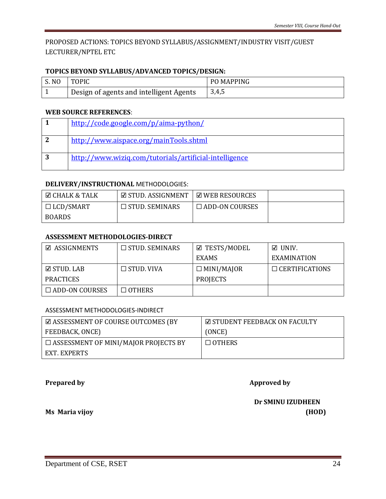## PROPOSED ACTIONS: TOPICS BEYOND SYLLABUS/ASSIGNMENT/INDUSTRY VISIT/GUEST LECTURER/NPTEL ETC

#### **TOPICS BEYOND SYLLABUS/ADVANCED TOPICS/DESIGN:**

| <b>S. NO</b> | <b>TOPIC</b>                            | <b>PO MAPPING</b> |
|--------------|-----------------------------------------|-------------------|
|              | Design of agents and intelligent Agents | 3,4,5             |

#### **WEB SOURCE REFERENCES**:

| http://code.google.com/p/aima-python/                  |
|--------------------------------------------------------|
| http://www.aispace.org/mainTools.shtml                 |
| http://www.wizig.com/tutorials/artificial-intelligence |

#### **DELIVERY/INSTRUCTIONAL** METHODOLOGIES:

| <b>⊡ CHALK &amp; TALK</b> | ☑ STUD. ASSIGNMENT       | $\boxdot$ web resources |  |
|---------------------------|--------------------------|-------------------------|--|
| $\Box$ LCD/SMART          | $\square$ STUD. SEMINARS | $\Box$ ADD-ON COURSES   |  |
| BOARDS                    |                          |                         |  |

#### **ASSESSMENT METHODOLOGIES-DIRECT**

| <b>☑ ASSIGNMENTS</b>  | $\Box$ STUD. SEMINARS | <b>☑ TESTS/MODEL</b> | $\boxtimes$ UNIV.     |  |  |
|-----------------------|-----------------------|----------------------|-----------------------|--|--|
|                       |                       | <b>EXAMS</b>         | EXAMINATION           |  |  |
| $\boxdot$ stud. LAB   | $\Box$ STUD. VIVA     | $\Box$ MINI/MAJOR    | $\Box$ CERTIFICATIONS |  |  |
| <b>PRACTICES</b>      |                       | <b>PROJECTS</b>      |                       |  |  |
| $\Box$ ADD-ON COURSES | $\Box$ OTHERS         |                      |                       |  |  |

#### ASSESSMENT METHODOLOGIES-INDIRECT

| $\boxtimes$ ASSESSMENT OF COURSE OUTCOMES (BY | $\boxtimes$ STUDENT FEEDBACK ON FACULTY |  |  |
|-----------------------------------------------|-----------------------------------------|--|--|
| FEEDBACK, ONCE)                               | (ONCE)                                  |  |  |
| $\Box$ ASSESSMENT OF MINI/MAJOR PROJECTS BY   | $\Box$ OTHERS                           |  |  |
| EXT. EXPERTS                                  |                                         |  |  |

**Prepared by Approved by** 

 **Dr SMINU IZUDHEEN Ms Maria vijoy (HOD)**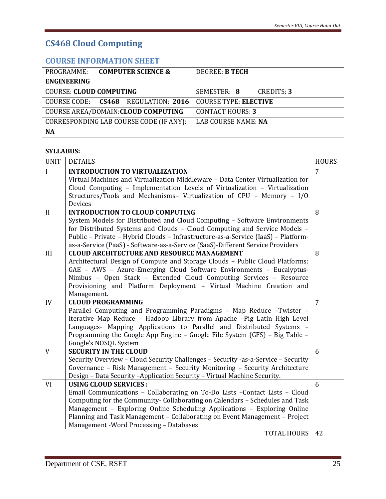# **CS468 Cloud Computing**

## **COURSE INFORMATION SHEET**

<span id="page-24-1"></span><span id="page-24-0"></span>

| <b>COMPUTER SCIENCE &amp;</b><br>PROGRAMME: | DEGREE: B TECH                   |  |  |
|---------------------------------------------|----------------------------------|--|--|
| <b>ENGINEERING</b>                          |                                  |  |  |
| <b>COURSE: CLOUD COMPUTING</b>              | SEMESTER: 8<br><b>CREDITS: 3</b> |  |  |
| COURSE CODE: CS468 REGULATION: 2016         | <b>COURSE TYPE: ELECTIVE</b>     |  |  |
| COURSE AREA/DOMAIN: CLOUD COMPUTING         | <b>CONTACT HOURS: 3</b>          |  |  |
| CORRESPONDING LAB COURSE CODE (IF ANY):     | LAB COURSE NAME: NA              |  |  |
| <b>NA</b>                                   |                                  |  |  |

#### **SYLLABUS:**

| <b>UNIT</b> | <b>DETAILS</b>                                                                    | <b>HOURS</b>   |
|-------------|-----------------------------------------------------------------------------------|----------------|
| I           | <b>INTRODUCTION TO VIRTUALIZATION</b>                                             | $\overline{7}$ |
|             | Virtual Machines and Virtualization Middleware - Data Center Virtualization for   |                |
|             | Cloud Computing - Implementation Levels of Virtualization - Virtualization        |                |
|             | Structures/Tools and Mechanisms- Virtualization of CPU - Memory - I/O             |                |
|             | Devices                                                                           |                |
| II          | <b>INTRODUCTION TO CLOUD COMPUTING</b>                                            | 8              |
|             | System Models for Distributed and Cloud Computing - Software Environments         |                |
|             | for Distributed Systems and Clouds - Cloud Computing and Service Models -         |                |
|             | Public - Private - Hybrid Clouds - Infrastructure-as-a-Service (IaaS) - Platform- |                |
|             | as-a-Service (PaaS) - Software-as-a-Service (SaaS)-Different Service Providers    |                |
| III         | <b>CLOUD ARCHITECTURE AND RESOURCE MANAGEMENT</b>                                 | 8              |
|             | Architectural Design of Compute and Storage Clouds - Public Cloud Platforms:      |                |
|             | GAE - AWS - Azure-Emerging Cloud Software Environments - Eucalyptus-              |                |
|             | Nimbus - Open Stack - Extended Cloud Computing Services - Resource                |                |
|             | Provisioning and Platform Deployment - Virtual Machine Creation and               |                |
|             | Management.                                                                       |                |
| IV          | <b>CLOUD PROGRAMMING</b>                                                          | $\overline{7}$ |
|             | Parallel Computing and Programming Paradigms - Map Reduce -Twister -              |                |
|             | Iterative Map Reduce - Hadoop Library from Apache -Pig Latin High Level           |                |
|             | Languages- Mapping Applications to Parallel and Distributed Systems -             |                |
|             | Programming the Google App Engine - Google File System (GFS) - Big Table -        |                |
|             | Google's NOSQL System                                                             |                |
| V           | <b>SECURITY IN THE CLOUD</b>                                                      | 6              |
|             | Security Overview - Cloud Security Challenges - Security -as-a-Service - Security |                |
|             | Governance - Risk Management - Security Monitoring - Security Architecture        |                |
|             | Design - Data Security -Application Security - Virtual Machine Security.          |                |
| VI          | <b>USING CLOUD SERVICES:</b>                                                      | 6              |
|             | Email Communications - Collaborating on To-Do Lists - Contact Lists - Cloud       |                |
|             | Computing for the Community- Collaborating on Calendars – Schedules and Task      |                |
|             | Management - Exploring Online Scheduling Applications - Exploring Online          |                |
|             | Planning and Task Management - Collaborating on Event Management - Project        |                |
|             | Management - Word Processing - Databases                                          |                |
|             | <b>TOTAL HOURS</b>                                                                | 42             |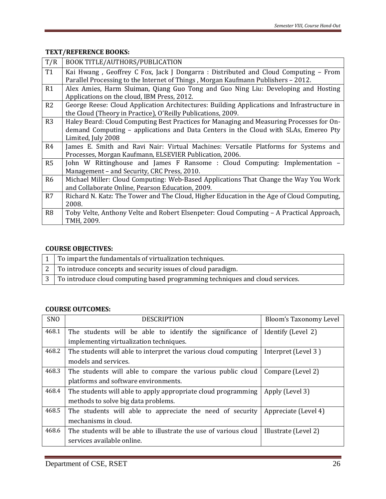### **TEXT/REFERENCE BOOKS:**

| T/R            | BOOK TITLE/AUTHORS/PUBLICATION                                                                                                                                                                        |
|----------------|-------------------------------------------------------------------------------------------------------------------------------------------------------------------------------------------------------|
| <b>T1</b>      | Kai Hwang, Geoffrey C Fox, Jack J Dongarra : Distributed and Cloud Computing – From<br>Parallel Processing to the Internet of Things, Morgan Kaufmann Publishers - 2012.                              |
| R1             | Alex Amies, Harm Sluiman, Qiang Guo Tong and Guo Ning Liu: Developing and Hosting<br>Applications on the cloud, IBM Press, 2012.                                                                      |
| R2             | George Reese: Cloud Application Architectures: Building Applications and Infrastructure in<br>the Cloud (Theory in Practice), O'Reilly Publications, 2009.                                            |
| R <sub>3</sub> | Haley Beard: Cloud Computing Best Practices for Managing and Measuring Processes for On-<br>demand Computing – applications and Data Centers in the Cloud with SLAs, Emereo Pty<br>Limited, July 2008 |
| R4             | James E. Smith and Ravi Nair: Virtual Machines: Versatile Platforms for Systems and<br>Processes, Morgan Kaufmann, ELSEVIER Publication, 2006.                                                        |
| R5             | John W Rittinghouse and James F Ransome : Cloud Computing: Implementation –<br>Management - and Security, CRC Press, 2010.                                                                            |
| R <sub>6</sub> | Michael Miller: Cloud Computing: Web-Based Applications That Change the Way You Work<br>and Collaborate Online, Pearson Education, 2009.                                                              |
| R7             | Richard N. Katz: The Tower and The Cloud, Higher Education in the Age of Cloud Computing,<br>2008.                                                                                                    |
| R <sub>8</sub> | Toby Velte, Anthony Velte and Robert Elsenpeter: Cloud Computing – A Practical Approach,<br>TMH, 2009.                                                                                                |

## **COURSE OBJECTIVES:**

| $\vert 1 \vert$ To impart the fundamentals of virtualization techniques.                    |
|---------------------------------------------------------------------------------------------|
| $\mid$ 2 $\mid$ To introduce concepts and security issues of cloud paradigm.                |
| $\mid 3 \mid$ To introduce cloud computing based programming techniques and cloud services. |

#### **COURSE OUTCOMES:**

| <b>SNO</b> | <b>DESCRIPTION</b>                                               | Bloom's Taxonomy Level |  |  |  |  |  |
|------------|------------------------------------------------------------------|------------------------|--|--|--|--|--|
| 468.1      | The students will be able to identify the significance of        | Identify (Level 2)     |  |  |  |  |  |
|            | implementing virtualization techniques.                          |                        |  |  |  |  |  |
| 468.2      | The students will able to interpret the various cloud computing  | Interpret (Level 3)    |  |  |  |  |  |
|            | models and services.                                             |                        |  |  |  |  |  |
| 468.3      | The students will able to compare the various public cloud       | Compare (Level 2)      |  |  |  |  |  |
|            | platforms and software environments.                             |                        |  |  |  |  |  |
| 468.4      | The students will able to apply appropriate cloud programming    | Apply (Level 3)        |  |  |  |  |  |
|            | methods to solve big data problems.                              |                        |  |  |  |  |  |
| 468.5      | The students will able to appreciate the need of security        | Appreciate (Level 4)   |  |  |  |  |  |
|            | mechanisms in cloud.                                             |                        |  |  |  |  |  |
| 468.6      | The students will be able to illustrate the use of various cloud | Illustrate (Level 2)   |  |  |  |  |  |
|            | services available online.                                       |                        |  |  |  |  |  |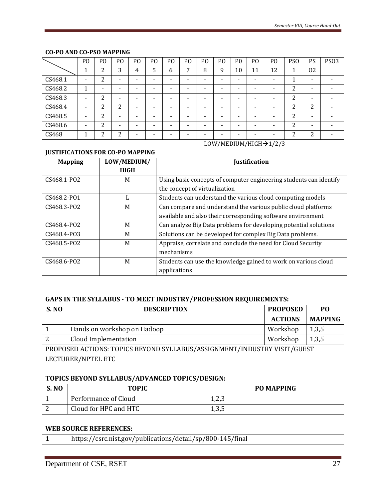#### **CO-PO AND CO-PSO MAPPING**

|         | P <sub>O</sub> | P <sub>O</sub> | PO     | PO | P <sub>O</sub> | P <sub>O</sub> | P <sub>O</sub> | P <sub>O</sub> | P <sub>O</sub>           | P <sub>0</sub> | P <sub>O</sub> | P <sub>O</sub> | <b>PSO</b> | PS                 | <b>PS03</b> |
|---------|----------------|----------------|--------|----|----------------|----------------|----------------|----------------|--------------------------|----------------|----------------|----------------|------------|--------------------|-------------|
|         |                | າ              | 3      | 4  | 5              | 6              | ⇁              | 8              | 9                        | 10             | 11             | 12             |            | 02                 |             |
| CS468.1 |                | ∍<br>▵         | -      | -  | -              | -              | -              | -              | -                        | -              | -              | -              | 1<br>л.    | -                  |             |
| CS468.2 |                | -              | -      |    |                | -              | -              | -              | -                        | -              |                |                | 2          |                    |             |
| CS468.3 | -              | າ              | -      |    |                |                | -              | -              | $\overline{\phantom{a}}$ | -              | -              |                | 2          | -                  |             |
| CS468.4 | -              | ∍              | ∍<br>∠ | -  |                | -              | -              | -              | $\overline{\phantom{a}}$ | -              | -              |                | っ<br>∠     | $\mathcal{D}$<br>∠ |             |
| CS468.5 | -              | າ              | -      | -  |                | -              | -              | -              | -                        | -              | -              |                | 2          | -                  |             |
| CS468.6 | -              | ∍<br>∠         | -      |    |                |                | -              |                | -                        | -              |                |                | 2          | -                  |             |
| CS468   |                | ∍              | ∍      |    |                |                | -              |                | -                        |                |                |                | ົາ         | ົາ                 |             |

LOW/MEDIUM/HIGH→1/2/3

#### **JUSTIFICATIONS FOR CO-PO MAPPING**

| <b>Mapping</b> | LOW/MEDIUM/ | <b>Justification</b>                                               |  |
|----------------|-------------|--------------------------------------------------------------------|--|
|                | <b>HIGH</b> |                                                                    |  |
| CS468.1-PO2    | M           | Using basic concepts of computer engineering students can identify |  |
|                |             | the concept of virtualization                                      |  |
| CS468.2-P01    | ь           | Students can understand the various cloud computing models         |  |
| CS468.3-PO2    | M           | Can compare and understand the various public cloud platforms      |  |
|                |             | available and also their corresponding software environment        |  |
| CS468.4-PO2    | M           | Can analyze Big Data problems for developing potential solutions   |  |
| CS468.4-P03    | M           | Solutions can be developed for complex Big Data problems.          |  |
| CS468.5-PO2    | M           | Appraise, correlate and conclude the need for Cloud Security       |  |
|                |             | mechanisms                                                         |  |
| CS468.6-PO2    | M           | Students can use the knowledge gained to work on various cloud     |  |
|                |             | applications                                                       |  |

#### **GAPS IN THE SYLLABUS - TO MEET INDUSTRY/PROFESSION REQUIREMENTS:**

| <b>S. NO</b> | <b>DESCRIPTION</b>          | <b>PROPOSED</b> | P <sub>0</sub> |
|--------------|-----------------------------|-----------------|----------------|
|              |                             | <b>ACTIONS</b>  | <b>MAPPING</b> |
|              | Hands on workshop on Hadoop | Workshop        | 1,3,5          |
|              | Cloud Implementation        | Workshop        | 1,3,5          |

PROPOSED ACTIONS: TOPICS BEYOND SYLLABUS/ASSIGNMENT/INDUSTRY VISIT/GUEST LECTURER/NPTEL ETC

#### **TOPICS BEYOND SYLLABUS/ADVANCED TOPICS/DESIGN:**

| <b>S. NO</b> | <b>TOPIC</b>          | <b>PO MAPPING</b> |
|--------------|-----------------------|-------------------|
|              | Performance of Cloud  | 1 つつ<br>ں, ∠, ⊥   |
|              | Cloud for HPC and HTC | 1,3,5             |

#### **WEB SOURCE REFERENCES:**

|  | https://csrc.nist.gov/publications/detail/sp/800-145/final |
|--|------------------------------------------------------------|
|--|------------------------------------------------------------|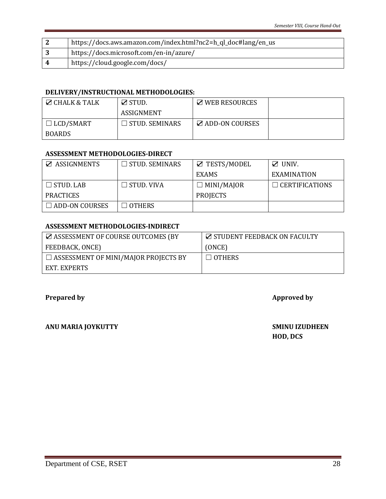| https://docs.aws.amazon.com/index.html?nc2=h_ql_doc#lang/en_us |
|----------------------------------------------------------------|
| https://docs.microsoft.com/en-in/azure/                        |
| https://cloud.google.com/docs/                                 |

#### **DELIVERY/INSTRUCTIONAL METHODOLOGIES:**

| $\boxtimes$ CHALK & TALK | $\boxtimes$ STUD.     | $\boxtimes$ WEB RESOURCES |  |
|--------------------------|-----------------------|---------------------------|--|
|                          | ASSIGNMENT            |                           |  |
| $\Box$ LCD/SMART         | $\Box$ STUD. SEMINARS | <b>⊠ ADD-ON COURSES</b>   |  |
| <b>BOARDS</b>            |                       |                           |  |

#### **ASSESSMENT METHODOLOGIES-DIRECT**

| <b>Z</b> ASSIGNMENTS  | $\Box$ STUD. SEMINARS | ☑ TESTS/MODEL     | $\mathbb Z$ UNIV.     |  |
|-----------------------|-----------------------|-------------------|-----------------------|--|
|                       |                       | EXAMS             | <b>EXAMINATION</b>    |  |
| $\Box$ STUD, LAB      | $\Box$ STUD. VIVA     | $\Box$ MINI/MAJOR | $\Box$ CERTIFICATIONS |  |
| <b>PRACTICES</b>      |                       | <b>PROJECTS</b>   |                       |  |
| $\Box$ ADD-ON COURSES | $\Box$ others         |                   |                       |  |

#### **ASSESSMENT METHODOLOGIES-INDIRECT**

| <b>Z ASSESSMENT OF COURSE OUTCOMES (BY</b>  | <b>Z STUDENT FEEDBACK ON FACULTY</b> |
|---------------------------------------------|--------------------------------------|
| FEEDBACK, ONCE)                             | (ONCE)                               |
| $\Box$ ASSESSMENT OF MINI/MAJOR PROJECTS BY | $\Box$ OTHERS                        |
| EXT. EXPERTS                                |                                      |

### **Prepared by Approved by**

**ANU MARIA JOYKUTTY SMINU IZUDHEEN** 

**HOD, DCS**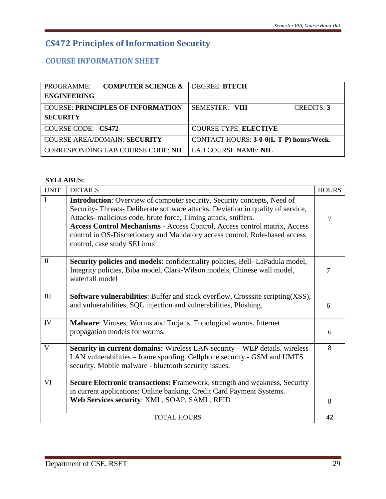# **CS472 Principles of Information Security**

# **COURSE INFORMATION SHEET**

<span id="page-28-1"></span><span id="page-28-0"></span>

| PROGRAMME:         | <b>COMPUTER SCIENCE &amp;</b>            | DEGREE: BTECH                           |                   |
|--------------------|------------------------------------------|-----------------------------------------|-------------------|
| <b>ENGINEERING</b> |                                          |                                         |                   |
|                    | <b>COURSE: PRINCIPLES OF INFORMATION</b> | SEMESTER: VIII                          | <b>CREDITS: 3</b> |
| <b>SECURITY</b>    |                                          |                                         |                   |
| COURSE CODE: CS472 |                                          | <b>COURSE TYPE: ELECTIVE</b>            |                   |
|                    | <b>COURSE AREA/DOMAIN: SECURITY</b>      | CONTACT HOURS: 3-0-0(L-T-P) hours/Week. |                   |
|                    | CORRESPONDING LAB COURSE CODE: NIL       | LAB COURSE NAME: NIL                    |                   |

#### **SYLLABUS:**

| <b>UNIT</b>  | <b>DETAILS</b>                                                                                                                                                                                                                                                                                                                                                                                                                | <b>HOURS</b> |
|--------------|-------------------------------------------------------------------------------------------------------------------------------------------------------------------------------------------------------------------------------------------------------------------------------------------------------------------------------------------------------------------------------------------------------------------------------|--------------|
| I            | <b>Introduction:</b> Overview of computer security, Security concepts, Need of<br>Security-Threats-Deliberate software attacks, Deviation in quality of service,<br>Attacks- malicious code, brute force, Timing attack, sniffers.<br>Access Control Mechanisms - Access Control, Access control matrix, Access<br>control in OS-Discretionary and Mandatory access control, Role-based access<br>control, case study SELinux | 7            |
| $\mathbf{I}$ | Security policies and models: confidentiality policies, Bell-LaPadula model,<br>Integrity policies, Biba model, Clark-Wilson models, Chinese wall model,<br>waterfall model                                                                                                                                                                                                                                                   | 7            |
| III          | <b>Software vulnerabilities:</b> Buffer and stack overflow, Crosssite scripting(XSS),<br>and vulnerabilities, SQL injection and vulnerabilities, Phishing.                                                                                                                                                                                                                                                                    | 6            |
| IV           | Malware: Viruses, Worms and Trojans. Topological worms. Internet<br>propagation models for worms.                                                                                                                                                                                                                                                                                                                             | 6            |
| V            | <b>Security in current domains:</b> Wireless LAN security – WEP details. wireless<br>LAN vulnerabilities – frame spoofing. Cellphone security - GSM and UMTS<br>security. Mobile malware - bluetooth security issues.                                                                                                                                                                                                         | 8            |
| VI           | Secure Electronic transactions: Framework, strength and weakness, Security<br>in current applications: Online banking, Credit Card Payment Systems.<br>Web Services security: XML, SOAP, SAML, RFID                                                                                                                                                                                                                           | 8            |
|              | <b>TOTAL HOURS</b>                                                                                                                                                                                                                                                                                                                                                                                                            | 42           |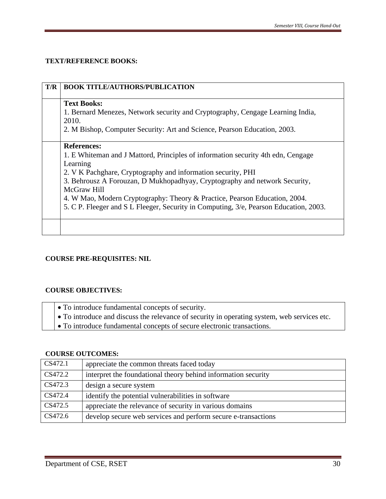#### **TEXT/REFERENCE BOOKS:**

| T/R | <b>BOOK TITLE/AUTHORS/PUBLICATION</b>                                                                                                                                                                                                                                                                                                                                                                                                                     |
|-----|-----------------------------------------------------------------------------------------------------------------------------------------------------------------------------------------------------------------------------------------------------------------------------------------------------------------------------------------------------------------------------------------------------------------------------------------------------------|
|     | <b>Text Books:</b><br>1. Bernard Menezes, Network security and Cryptography, Cengage Learning India,<br>2010.<br>2. M Bishop, Computer Security: Art and Science, Pearson Education, 2003.                                                                                                                                                                                                                                                                |
|     | <b>References:</b><br>1. E Whiteman and J Mattord, Principles of information security 4th edn, Cengage<br>Learning<br>2. V K Pachghare, Cryptography and information security, PHI<br>3. Behrousz A Forouzan, D Mukhopadhyay, Cryptography and network Security,<br>McGraw Hill<br>4. W Mao, Modern Cryptography: Theory & Practice, Pearson Education, 2004.<br>5. C P. Fleeger and S L Fleeger, Security in Computing, $3/e$ , Pearson Education, 2003. |
|     |                                                                                                                                                                                                                                                                                                                                                                                                                                                           |

#### **COURSE PRE-REQUISITES: NIL**

#### **COURSE OBJECTIVES:**

- To introduce fundamental concepts of security.
- To introduce and discuss the relevance of security in operating system, web services etc.
- To introduce fundamental concepts of secure electronic transactions.

#### **COURSE OUTCOMES:**

| CS472.1 | appreciate the common threats faced today                     |
|---------|---------------------------------------------------------------|
| CS472.2 | interpret the foundational theory behind information security |
| CS472.3 | design a secure system                                        |
| CS472.4 | identify the potential vulnerabilities in software            |
| CS472.5 | appreciate the relevance of security in various domains       |
| CS472.6 | develop secure web services and perform secure e-transactions |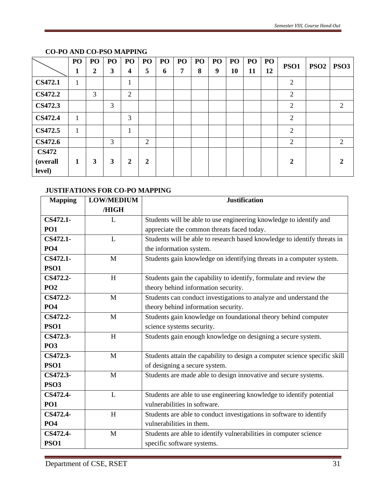|                | PO           | PO | PO | PO           | PO               | PO | PO | P <sub>O</sub> | PO <sub>1</sub> | PO | PO | <b>PO</b> | PSO1           | PSO2 | PSO <sub>3</sub> |
|----------------|--------------|----|----|--------------|------------------|----|----|----------------|-----------------|----|----|-----------|----------------|------|------------------|
|                | 1            | 2  | 3  | 4            | 5                | 6  | 7  | 8              | 9               | 10 | 11 | 12        |                |      |                  |
| <b>CS472.1</b> | $\mathbf{1}$ |    |    | $\mathbf{r}$ |                  |    |    |                |                 |    |    |           | $\overline{2}$ |      |                  |
| <b>CS472.2</b> |              | 3  |    | 2            |                  |    |    |                |                 |    |    |           | $\overline{2}$ |      |                  |
| <b>CS472.3</b> |              |    | 3  |              |                  |    |    |                |                 |    |    |           | $\overline{2}$ |      | 2                |
| <b>CS472.4</b> | $\mathbf{1}$ |    |    | 3            |                  |    |    |                |                 |    |    |           | $\overline{2}$ |      |                  |
| <b>CS472.5</b> | $\mathbf{1}$ |    |    | л            |                  |    |    |                |                 |    |    |           | $\overline{2}$ |      |                  |
| <b>CS472.6</b> |              |    | 3  |              | 2                |    |    |                |                 |    |    |           | $\overline{2}$ |      | 2                |
| <b>CS472</b>   |              |    |    |              |                  |    |    |                |                 |    |    |           |                |      |                  |
| (overall       | 1            | 3  | 3  | 2            | $\boldsymbol{2}$ |    |    |                |                 |    |    |           | $\mathbf{2}$   |      | 2                |
| level)         |              |    |    |              |                  |    |    |                |                 |    |    |           |                |      |                  |

### **CO-PO AND CO-PSO MAPPING**

#### **JUSTIFATIONS FOR CO-PO MAPPING**

| <b>Mapping</b>  | <b>LOW/MEDIUM</b> | <b>Justification</b>                                                       |
|-----------------|-------------------|----------------------------------------------------------------------------|
|                 | /HIGH             |                                                                            |
| CS472.1-        | $\mathbf{L}$      | Students will be able to use engineering knowledge to identify and         |
| <b>PO1</b>      |                   | appreciate the common threats faced today.                                 |
| CS472.1-        | L                 | Students will be able to research based knowledge to identify threats in   |
| <b>PO4</b>      |                   | the information system.                                                    |
| CS472.1-        | M                 | Students gain knowledge on identifying threats in a computer system.       |
| <b>PSO1</b>     |                   |                                                                            |
| CS472.2-        | H                 | Students gain the capability to identify, formulate and review the         |
| PO <sub>2</sub> |                   | theory behind information security.                                        |
| CS472.2-        | M                 | Students can conduct investigations to analyze and understand the          |
| PO <sub>4</sub> |                   | theory behind information security.                                        |
| CS472.2-        | M                 | Students gain knowledge on foundational theory behind computer             |
| <b>PSO1</b>     |                   | science systems security.                                                  |
| CS472.3-        | H                 | Students gain enough knowledge on designing a secure system.               |
| <b>PO3</b>      |                   |                                                                            |
| CS472.3-        | M                 | Students attain the capability to design a computer science specific skill |
| <b>PSO1</b>     |                   | of designing a secure system.                                              |
| CS472.3-        | M                 | Students are made able to design innovative and secure systems.            |
| <b>PSO3</b>     |                   |                                                                            |
| CS472.4-        | L                 | Students are able to use engineering knowledge to identify potential       |
| <b>PO1</b>      |                   | vulnerabilities in software.                                               |
| CS472.4-        | H                 | Students are able to conduct investigations in software to identify        |
| PO <sub>4</sub> |                   | vulnerabilities in them.                                                   |
| CS472.4-        | M                 | Students are able to identify vulnerabilities in computer science          |
| <b>PSO1</b>     |                   | specific software systems.                                                 |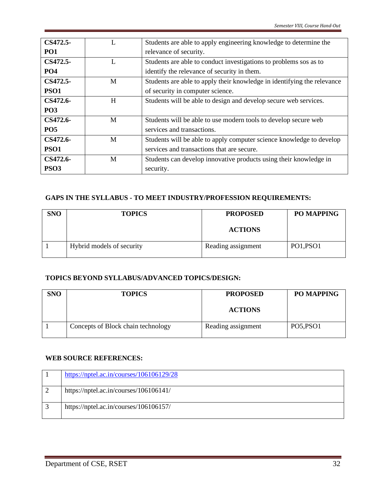| CS472.5-        |   | Students are able to apply engineering knowledge to determine the       |
|-----------------|---|-------------------------------------------------------------------------|
| PO1             |   | relevance of security.                                                  |
| CS472.5-        | L | Students are able to conduct investigations to problems sos as to       |
| PO <sub>4</sub> |   | identify the relevance of security in them.                             |
| CS472.5-        | M | Students are able to apply their knowledge in identifying the relevance |
| <b>PSO1</b>     |   | of security in computer science.                                        |
| CS472.6-        | H | Students will be able to design and develop secure web services.        |
| <b>PO3</b>      |   |                                                                         |
| CS472.6-        | M | Students will be able to use modern tools to develop secure web         |
| <b>PO5</b>      |   | services and transactions.                                              |
| CS472.6-        | M | Students will be able to apply computer science knowledge to develop    |
| <b>PSO1</b>     |   | services and transactions that are secure.                              |
| CS472.6-        | M | Students can develop innovative products using their knowledge in       |
| <b>PSO3</b>     |   | security.                                                               |

### **GAPS IN THE SYLLABUS - TO MEET INDUSTRY/PROFESSION REQUIREMENTS:**

| <b>SNO</b> | <b>TOPICS</b>             | <b>PROPOSED</b>    | PO MAPPING |
|------------|---------------------------|--------------------|------------|
|            |                           | <b>ACTIONS</b>     |            |
|            | Hybrid models of security | Reading assignment | PO1, PSO1  |

#### **TOPICS BEYOND SYLLABUS/ADVANCED TOPICS/DESIGN:**

| <b>SNO</b> | <b>TOPICS</b>                      | <b>PROPOSED</b>    | <b>PO MAPPING</b> |
|------------|------------------------------------|--------------------|-------------------|
|            |                                    | <b>ACTIONS</b>     |                   |
|            | Concepts of Block chain technology | Reading assignment | PO5, PSO1         |

#### **WEB SOURCE REFERENCES:**

| https://nptel.ac.in/courses/106106129/28 |
|------------------------------------------|
| https://nptel.ac.in/courses/106106141/   |
| https://nptel.ac.in/courses/106106157/   |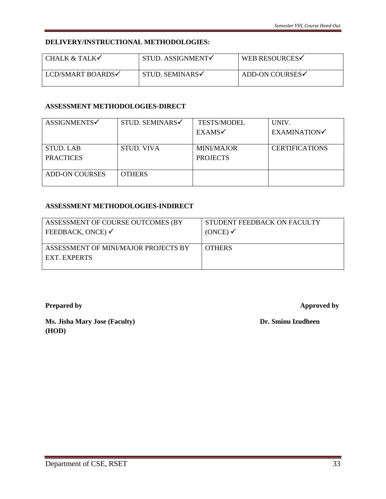#### **DELIVERY/INSTRUCTIONAL METHODOLOGIES:**

| CHALK & TALK $\checkmark$ | STUD. ASSIGNMENT | <b>WEB RESOURCES√</b> |
|---------------------------|------------------|-----------------------|
| LCD/SMART BOARDS√         | STUD. SEMINARS√  | ADD-ON COURSES√       |

#### **ASSESSMENT METHODOLOGIES-DIRECT**

| ASSIGNMENTS√          | STUD. SEMINARS    | <b>TESTS/MODEL</b> | UNIV.                 |
|-----------------------|-------------------|--------------------|-----------------------|
|                       |                   | EXAMS <sub>v</sub> | <b>EXAMINATION</b>    |
|                       |                   |                    |                       |
| <b>STUD. LAB</b>      | <b>STUD. VIVA</b> | <b>MINI/MAJOR</b>  | <b>CERTIFICATIONS</b> |
| <b>PRACTICES</b>      |                   | <b>PROJECTS</b>    |                       |
|                       |                   |                    |                       |
| <b>ADD-ON COURSES</b> | <b>OTHERS</b>     |                    |                       |
|                       |                   |                    |                       |

#### **ASSESSMENT METHODOLOGIES-INDIRECT**

| ASSESSMENT OF COURSE OUTCOMES (BY                    | STUDENT FEEDBACK ON FACULTY |
|------------------------------------------------------|-----------------------------|
| FEEDBACK, ONCE) $\checkmark$                         | (ONCE)                      |
| ASSESSMENT OF MINI/MAJOR PROJECTS BY<br>EXT. EXPERTS | <b>OTHERS</b>               |

**Prepared by Approved by** 

**Ms. Jisha Mary Jose (Faculty)** Dr. Sminu Izudheen **(HOD)**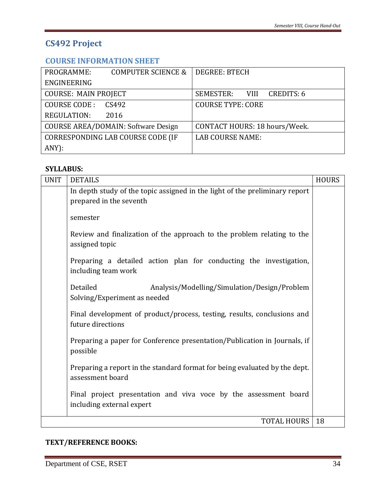# **CS492 Project**

# **COURSE INFORMATION SHEET**

<span id="page-33-1"></span><span id="page-33-0"></span>

| PROGRAMME:                  | <b>COMPUTER SCIENCE &amp;</b>              | <b>DEGREE: BTECH</b>          |
|-----------------------------|--------------------------------------------|-------------------------------|
| ENGINEERING                 |                                            |                               |
| <b>COURSE: MAIN PROJECT</b> |                                            | SEMESTER: VIII CREDITS: 6     |
| COURSE CODE:                | CS492                                      | <b>COURSE TYPE: CORE</b>      |
| <b>REGULATION:</b>          | 2016                                       |                               |
|                             | <b>COURSE AREA/DOMAIN: Software Design</b> | CONTACT HOURS: 18 hours/Week. |
|                             | CORRESPONDING LAB COURSE CODE (IF          | <b>LAB COURSE NAME:</b>       |
| $ANY$ :                     |                                            |                               |

## **SYLLABUS:**

| <b>UNIT</b> | <b>DETAILS</b>                                                                                 | <b>HOURS</b> |
|-------------|------------------------------------------------------------------------------------------------|--------------|
|             | In depth study of the topic assigned in the light of the preliminary report                    |              |
|             | prepared in the seventh                                                                        |              |
|             | semester                                                                                       |              |
|             | Review and finalization of the approach to the problem relating to the<br>assigned topic       |              |
|             | Preparing a detailed action plan for conducting the investigation,<br>including team work      |              |
|             | Detailed<br>Analysis/Modelling/Simulation/Design/Problem<br>Solving/Experiment as needed       |              |
|             | Final development of product/process, testing, results, conclusions and<br>future directions   |              |
|             | Preparing a paper for Conference presentation/Publication in Journals, if<br>possible          |              |
|             | Preparing a report in the standard format for being evaluated by the dept.<br>assessment board |              |
|             | Final project presentation and viva voce by the assessment board<br>including external expert  |              |
|             | <b>TOTAL HOURS</b>                                                                             | 18           |

# **TEXT/REFERENCE BOOKS:**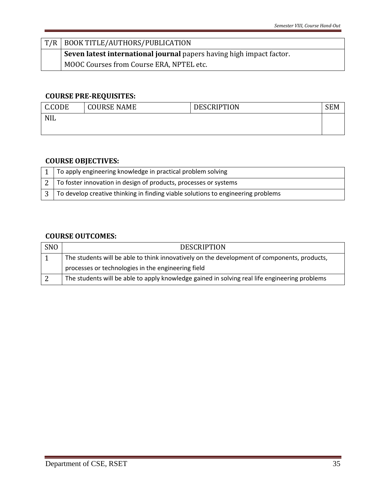| T/R   BOOK TITLE/AUTHORS/PUBLICATION                                 |
|----------------------------------------------------------------------|
| Seven latest international journal papers having high impact factor. |
| MOOC Courses from Course ERA, NPTEL etc.                             |

# **COURSE PRE-REQUISITES:**

| C.CODE     | <b>COURSE NAME</b> | <b>DESCRIPTION</b> |  |
|------------|--------------------|--------------------|--|
| <b>NIL</b> |                    |                    |  |
|            |                    |                    |  |

# **COURSE OBJECTIVES:**

| 1   To apply engineering knowledge in practical problem solving                  |
|----------------------------------------------------------------------------------|
| 2 To foster innovation in design of products, processes or systems               |
| To develop creative thinking in finding viable solutions to engineering problems |

# **COURSE OUTCOMES:**

| <b>SNO</b> | <b>DESCRIPTION</b>                                                                            |
|------------|-----------------------------------------------------------------------------------------------|
|            | The students will be able to think innovatively on the development of components, products,   |
|            | processes or technologies in the engineering field                                            |
|            | The students will be able to apply knowledge gained in solving real life engineering problems |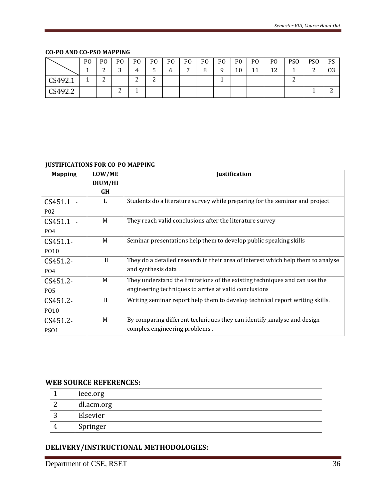#### **CO-PO AND CO-PSO MAPPING**

|                     | P <sub>O</sub> | P <sub>O</sub>                | P <sub>O</sub> | P <sub>O</sub> | PO.             | PO. | P <sub>O</sub> | P <sub>0</sub> | P <sub>O</sub> | P <sub>0</sub> | P <sub>O</sub> | P <sub>O</sub>   | PS <sub>O</sub> | <b>PSO</b> | <b>PS</b> |
|---------------------|----------------|-------------------------------|----------------|----------------|-----------------|-----|----------------|----------------|----------------|----------------|----------------|------------------|-----------------|------------|-----------|
|                     |                | ◠<br>▃                        | ⌒<br>. .       |                | ັ               | 6   | $\overline{ }$ | 8              | $\Omega$       | 10             | 11<br>TT.      | $1^{\circ}$<br>ᅶ |                 | ∸          | 03        |
| CS492.1<br>$\sim$ 1 |                | $\overline{\phantom{0}}$<br>▵ |                | ⌒<br>∼         | $\sqrt{2}$<br>▵ |     |                |                |                |                |                |                  | ∸               |            |           |
| CS492.2             |                |                               | ∸              |                |                 |     |                |                |                |                |                |                  |                 |            | ∸         |

#### **JUSTIFICATIONS FOR CO-PO MAPPING**

| <b>Mapping</b>   | LOW/ME  | <b>Justification</b>                                                             |  |  |  |  |
|------------------|---------|----------------------------------------------------------------------------------|--|--|--|--|
|                  | DIUM/HI |                                                                                  |  |  |  |  |
|                  | GH      |                                                                                  |  |  |  |  |
| $CS451.1 -$      | L       | Students do a literature survey while preparing for the seminar and project      |  |  |  |  |
| P <sub>0</sub> 2 |         |                                                                                  |  |  |  |  |
| $CS451.1 -$      | M       | They reach valid conclusions after the literature survey                         |  |  |  |  |
| P <sub>04</sub>  |         |                                                                                  |  |  |  |  |
| $CS451.1-$       | M       | Seminar presentations help them to develop public speaking skills                |  |  |  |  |
| PO10             |         |                                                                                  |  |  |  |  |
| CS451.2-         | H       | They do a detailed research in their area of interest which help them to analyse |  |  |  |  |
| P <sub>04</sub>  |         | and synthesis data.                                                              |  |  |  |  |
| CS451.2-         | M       | They understand the limitations of the existing techniques and can use the       |  |  |  |  |
| <b>PO5</b>       |         | engineering techniques to arrive at valid conclusions                            |  |  |  |  |
| CS451.2-         | H       | Writing seminar report help them to develop technical report writing skills.     |  |  |  |  |
| PO10             |         |                                                                                  |  |  |  |  |
| CS451.2-         | M       | By comparing different techniques they can identify , analyse and design         |  |  |  |  |
| PS <sub>01</sub> |         | complex engineering problems.                                                    |  |  |  |  |

## **WEB SOURCE REFERENCES:**

| ieee.org   |
|------------|
| dl.acm.org |
| Elsevier   |
| Springer   |

## **DELIVERY/INSTRUCTIONAL METHODOLOGIES:**